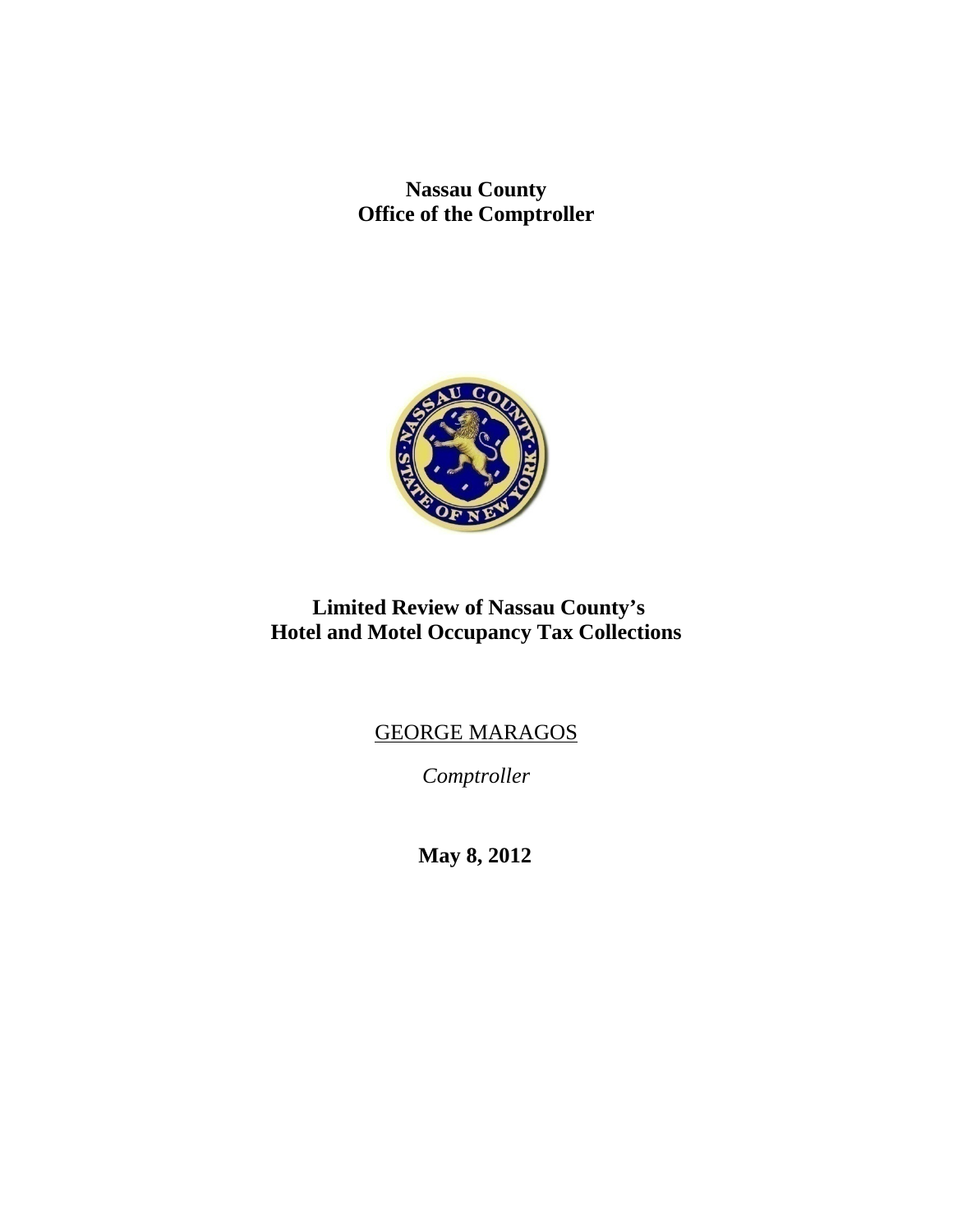**Nassau County Office of the Comptroller** 



# **Limited Review of Nassau County's Hotel and Motel Occupancy Tax Collections**

# GEORGE MARAGOS

*Comptroller* 

**May 8, 2012**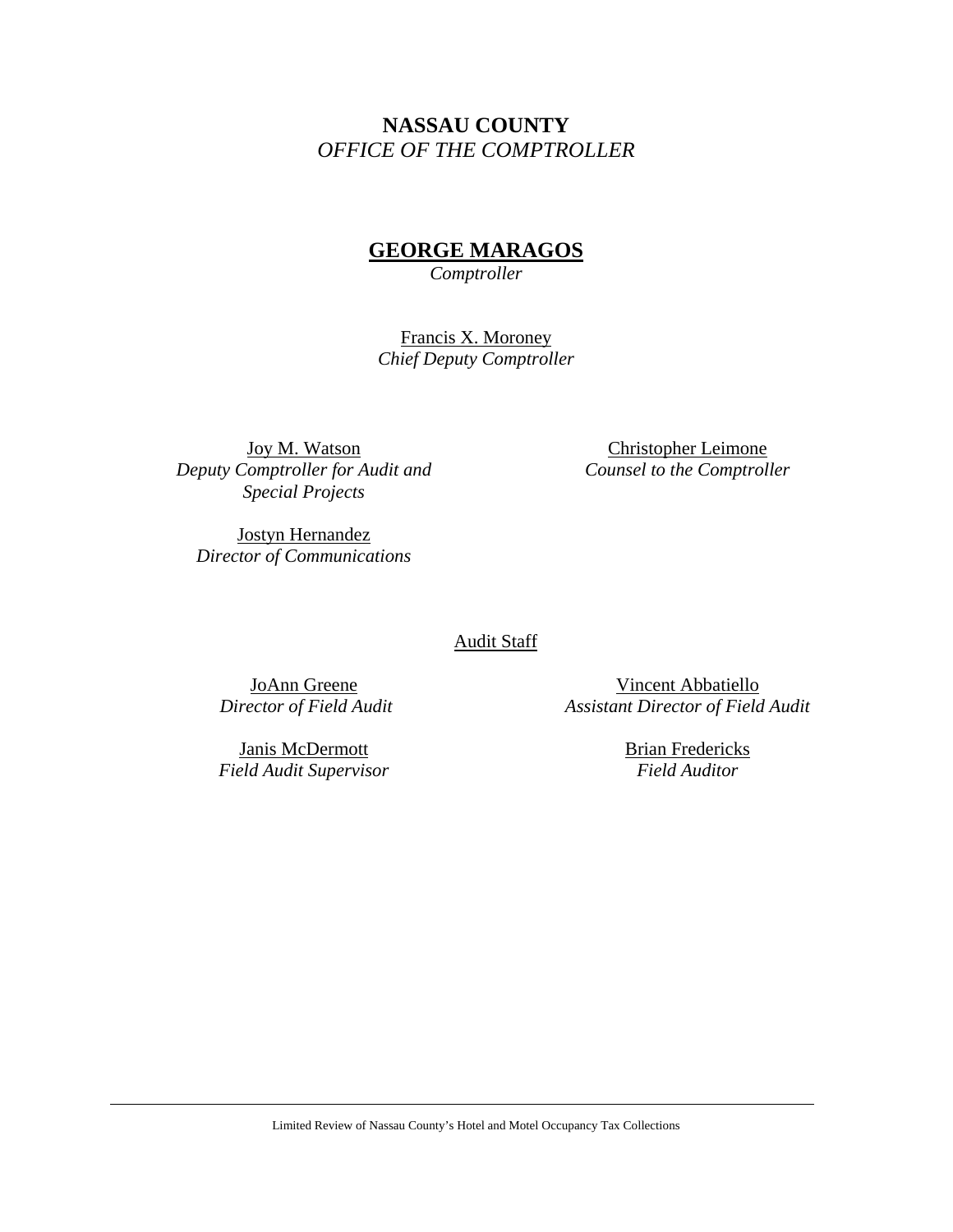# **NASSAU COUNTY**  *OFFICE OF THE COMPTROLLER*

# **GEORGE MARAGOS**

*Comptroller* 

Francis X. Moroney *Chief Deputy Comptroller* 

Joy M. Watson *Deputy Comptroller for Audit and Special Projects* 

Christopher Leimone *Counsel to the Comptroller* 

Jostyn Hernandez *Director of Communications* 

Audit Staff

JoAnn Greene  *Director of Field Audit* 

Janis McDermott *Field Audit Supervisor* 

Vincent Abbatiello *Assistant Director of Field Audit* 

> Brian Fredericks *Field Auditor*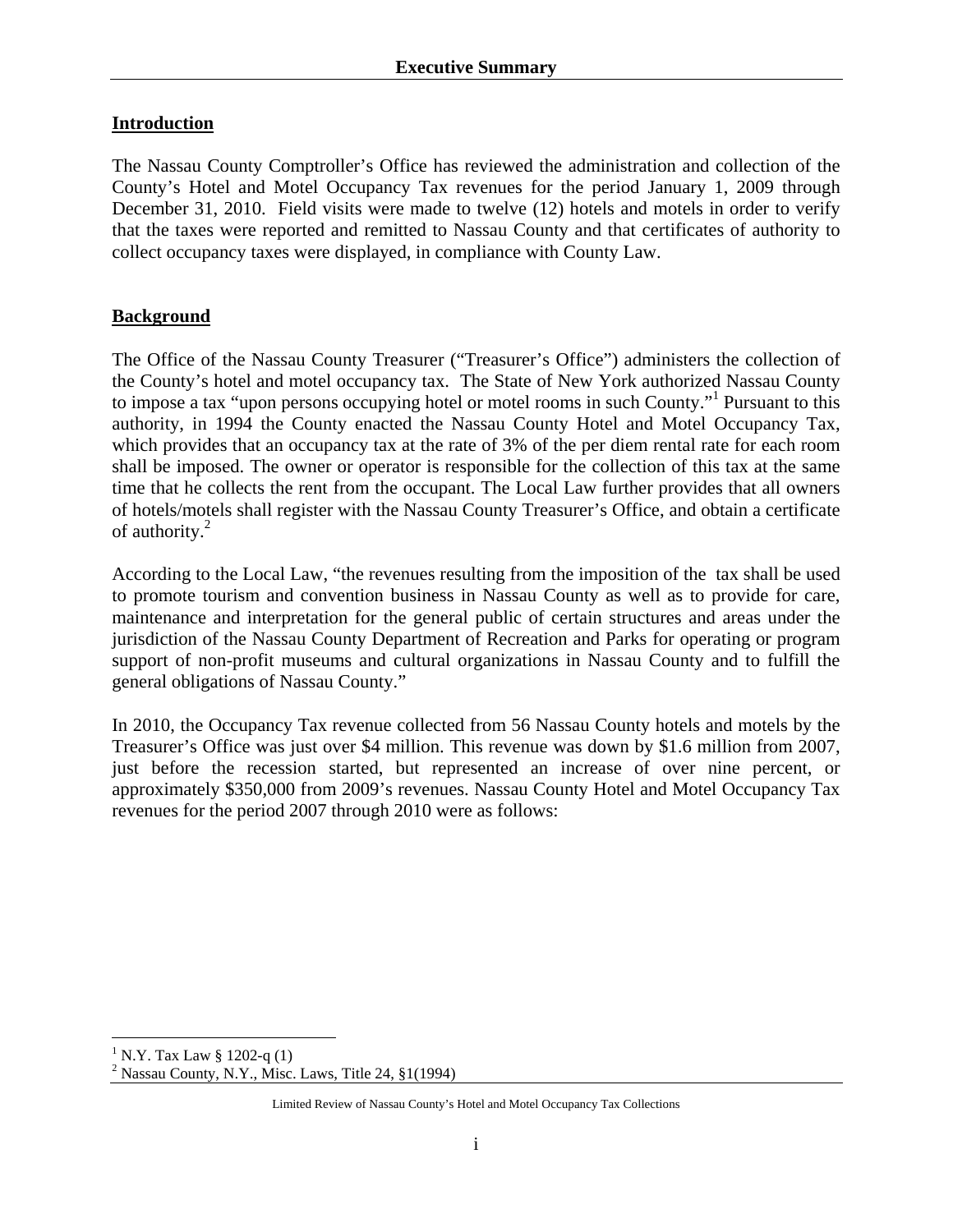## **Introduction**

The Nassau County Comptroller's Office has reviewed the administration and collection of the County's Hotel and Motel Occupancy Tax revenues for the period January 1, 2009 through December 31, 2010. Field visits were made to twelve (12) hotels and motels in order to verify that the taxes were reported and remitted to Nassau County and that certificates of authority to collect occupancy taxes were displayed, in compliance with County Law.

## **Background**

The Office of the Nassau County Treasurer ("Treasurer's Office") administers the collection of the County's hotel and motel occupancy tax. The State of New York authorized Nassau County to impose a tax "upon persons occupying hotel or motel rooms in such County."<sup>1</sup> Pursuant to this authority, in 1994 the County enacted the Nassau County Hotel and Motel Occupancy Tax, which provides that an occupancy tax at the rate of 3% of the per diem rental rate for each room shall be imposed. The owner or operator is responsible for the collection of this tax at the same time that he collects the rent from the occupant. The Local Law further provides that all owners of hotels/motels shall register with the Nassau County Treasurer's Office, and obtain a certificate of authority.<sup>2</sup>

According to the Local Law, "the revenues resulting from the imposition of the tax shall be used to promote tourism and convention business in Nassau County as well as to provide for care, maintenance and interpretation for the general public of certain structures and areas under the jurisdiction of the Nassau County Department of Recreation and Parks for operating or program support of non-profit museums and cultural organizations in Nassau County and to fulfill the general obligations of Nassau County."

In 2010, the Occupancy Tax revenue collected from 56 Nassau County hotels and motels by the Treasurer's Office was just over \$4 million. This revenue was down by \$1.6 million from 2007, just before the recession started, but represented an increase of over nine percent, or approximately \$350,000 from 2009's revenues. Nassau County Hotel and Motel Occupancy Tax revenues for the period 2007 through 2010 were as follows:

 $\overline{a}$  $1 N.Y.$  Tax Law § 1202-q (1)

<sup>&</sup>lt;sup>2</sup> Nassau County, N.Y., Misc. Laws, Title 24,  $\S1(1994)$ 

Limited Review of Nassau County's Hotel and Motel Occupancy Tax Collections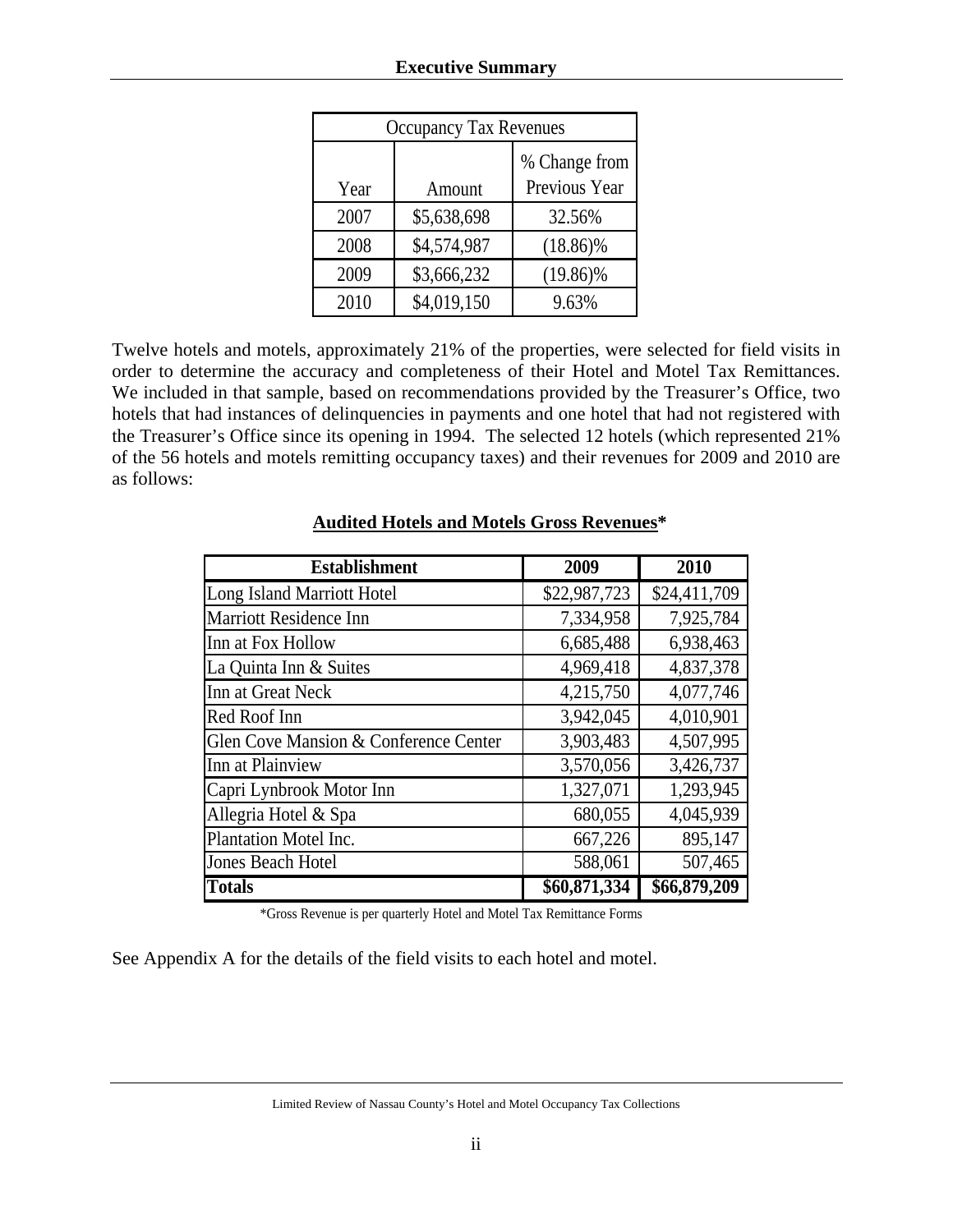| <b>Occupancy Tax Revenues</b> |             |                                |  |  |
|-------------------------------|-------------|--------------------------------|--|--|
| Year                          | Amount      | % Change from<br>Previous Year |  |  |
| 2007                          | \$5,638,698 | 32.56%                         |  |  |
| 2008                          | \$4,574,987 | $(18.86)\%$                    |  |  |
| 2009                          | \$3,666,232 | $(19.86)\%$                    |  |  |
| 2010                          | \$4,019,150 | 9.63%                          |  |  |

Twelve hotels and motels, approximately 21% of the properties, were selected for field visits in order to determine the accuracy and completeness of their Hotel and Motel Tax Remittances. We included in that sample, based on recommendations provided by the Treasurer's Office, two hotels that had instances of delinquencies in payments and one hotel that had not registered with the Treasurer's Office since its opening in 1994. The selected 12 hotels (which represented 21% of the 56 hotels and motels remitting occupancy taxes) and their revenues for 2009 and 2010 are as follows:

| <b>Establishment</b>                  | 2009         | 2010         |
|---------------------------------------|--------------|--------------|
| Long Island Marriott Hotel            | \$22,987,723 | \$24,411,709 |
| <b>Marriott Residence Inn</b>         | 7,334,958    | 7,925,784    |
| Inn at Fox Hollow                     | 6,685,488    | 6,938,463    |
| La Quinta Inn & Suites                | 4,969,418    | 4,837,378    |
| Inn at Great Neck                     | 4,215,750    | 4,077,746    |
| Red Roof Inn                          | 3,942,045    | 4,010,901    |
| Glen Cove Mansion & Conference Center | 3,903,483    | 4,507,995    |
| Inn at Plainview                      | 3,570,056    | 3,426,737    |
| Capri Lynbrook Motor Inn              | 1,327,071    | 1,293,945    |
| Allegria Hotel & Spa                  | 680,055      | 4,045,939    |
| Plantation Motel Inc.                 | 667,226      | 895,147      |
| <b>Jones Beach Hotel</b>              | 588,061      | 507,465      |
| <b>Totals</b>                         | \$60,871,334 | \$66,879,209 |

## **Audited Hotels and Motels Gross Revenues\***

\*Gross Revenue is per quarterly Hotel and Motel Tax Remittance Forms

See Appendix A for the details of the field visits to each hotel and motel.

Limited Review of Nassau County's Hotel and Motel Occupancy Tax Collections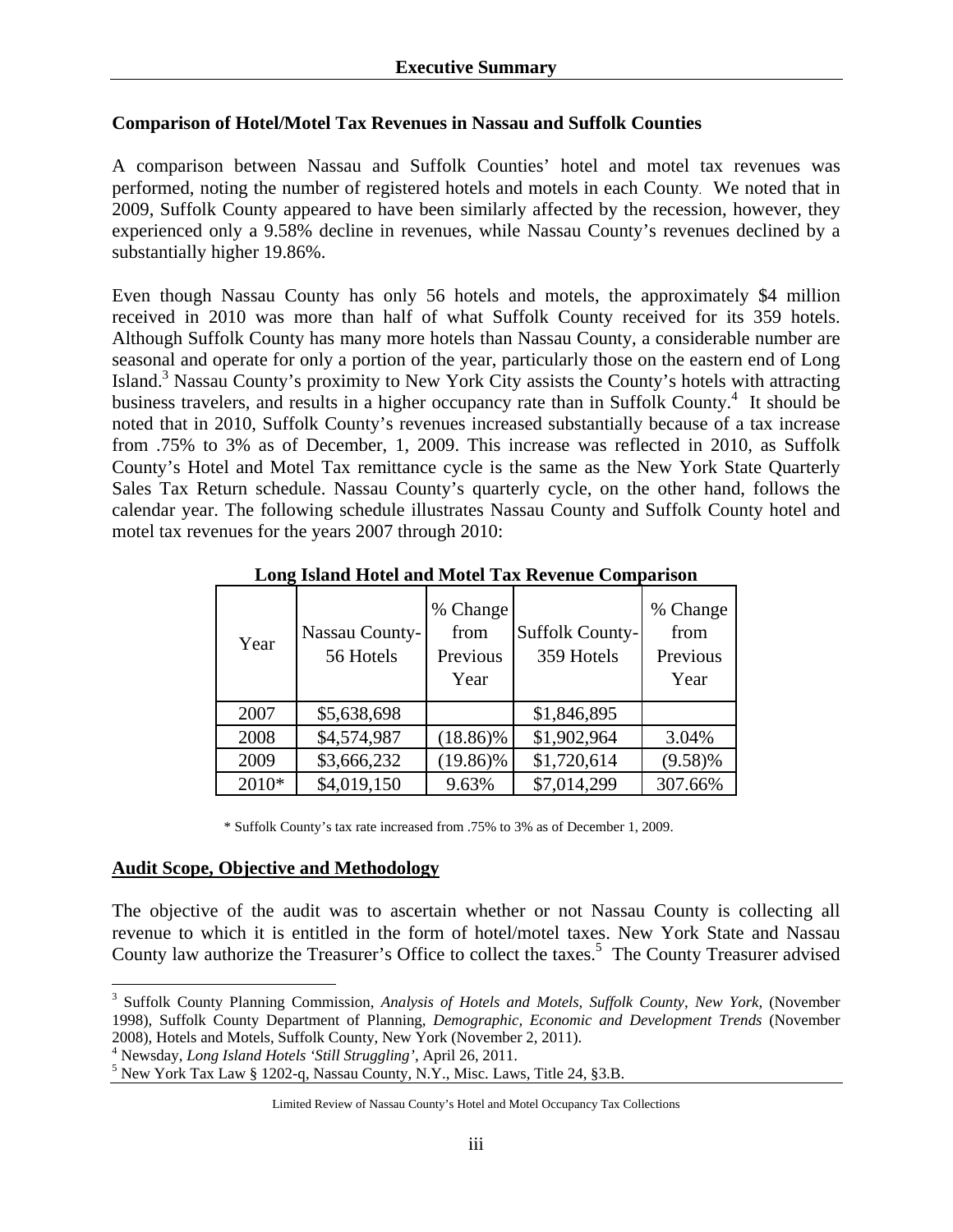#### **Comparison of Hotel/Motel Tax Revenues in Nassau and Suffolk Counties**

A comparison between Nassau and Suffolk Counties' hotel and motel tax revenues was performed, noting the number of registered hotels and motels in each County. We noted that in 2009, Suffolk County appeared to have been similarly affected by the recession, however, they experienced only a 9.58% decline in revenues, while Nassau County's revenues declined by a substantially higher 19.86%.

Even though Nassau County has only 56 hotels and motels, the approximately \$4 million received in 2010 was more than half of what Suffolk County received for its 359 hotels. Although Suffolk County has many more hotels than Nassau County, a considerable number are seasonal and operate for only a portion of the year, particularly those on the eastern end of Long Island.<sup>3</sup> Nassau County's proximity to New York City assists the County's hotels with attracting business travelers, and results in a higher occupancy rate than in Suffolk County.<sup>4</sup> It should be noted that in 2010, Suffolk County's revenues increased substantially because of a tax increase from .75% to 3% as of December, 1, 2009. This increase was reflected in 2010, as Suffolk County's Hotel and Motel Tax remittance cycle is the same as the New York State Quarterly Sales Tax Return schedule. Nassau County's quarterly cycle, on the other hand, follows the calendar year. The following schedule illustrates Nassau County and Suffolk County hotel and motel tax revenues for the years 2007 through 2010:

| Year  | Nassau County-<br>56 Hotels | % Change<br>from<br>Previous<br>Year | Suffolk County-<br>359 Hotels | % Change<br>from<br>Previous<br>Year |
|-------|-----------------------------|--------------------------------------|-------------------------------|--------------------------------------|
| 2007  | \$5,638,698                 |                                      | \$1,846,895                   |                                      |
| 2008  | \$4,574,987                 | $(18.86)\%$                          | \$1,902,964                   | 3.04%                                |
| 2009  | \$3,666,232                 | $(19.86)\%$                          | \$1,720,614                   | $(9.58)\%$                           |
| 2010* | \$4,019,150                 | 9.63%                                | \$7,014,299                   | 307.66%                              |

**Long Island Hotel and Motel Tax Revenue Comparison**

\* Suffolk County's tax rate increased from .75% to 3% as of December 1, 2009.

## **Audit Scope, Objective and Methodology**

<u>.</u>

The objective of the audit was to ascertain whether or not Nassau County is collecting all revenue to which it is entitled in the form of hotel/motel taxes. New York State and Nassau County law authorize the Treasurer's Office to collect the taxes.<sup>5</sup> The County Treasurer advised

<sup>&</sup>lt;sup>3</sup> Suffolk County Planning Commission, *Analysis of Hotels and Motels, Suffolk County, New York, (November* 1998), Suffolk County Department of Planning, *Demographic, Economic and Development Trends* (November 2008), Hotels and Motels, Suffolk County, New York (November 2, 2011).

<sup>&</sup>lt;sup>4</sup> Newsday, *Long Island Hotels 'Still Struggling'*, April 26, 2011.<br><sup>5</sup> Naw York Tay Law 8, 1202.5, Nessau County, N.Y., Miss. Law

 $<sup>5</sup>$  New York Tax Law § 1202-q, Nassau County, N.Y., Misc. Laws, Title 24, §3.B.</sup>

Limited Review of Nassau County's Hotel and Motel Occupancy Tax Collections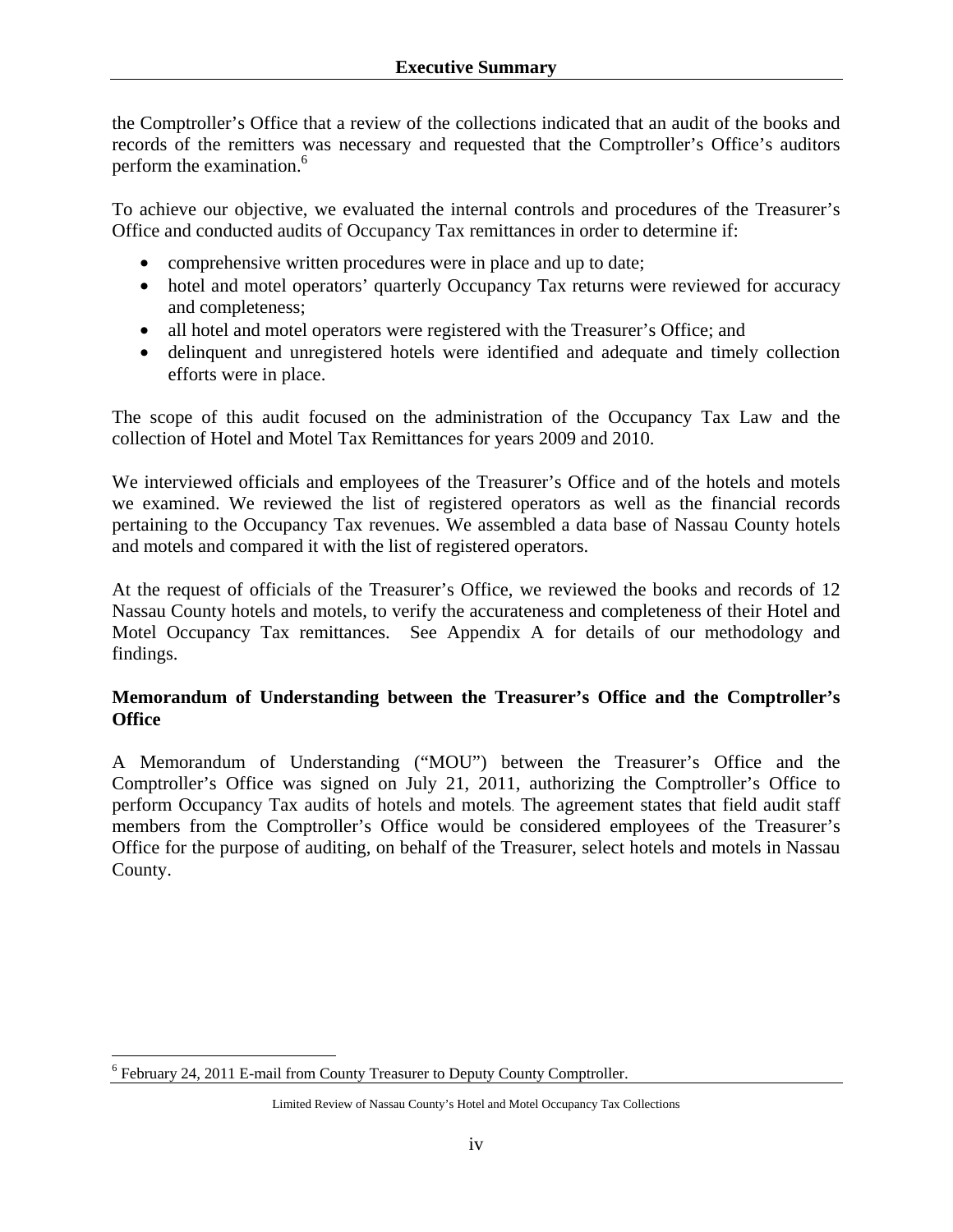the Comptroller's Office that a review of the collections indicated that an audit of the books and records of the remitters was necessary and requested that the Comptroller's Office's auditors perform the examination.<sup>6</sup>

To achieve our objective, we evaluated the internal controls and procedures of the Treasurer's Office and conducted audits of Occupancy Tax remittances in order to determine if:

- comprehensive written procedures were in place and up to date;
- hotel and motel operators' quarterly Occupancy Tax returns were reviewed for accuracy and completeness;
- all hotel and motel operators were registered with the Treasurer's Office; and
- delinquent and unregistered hotels were identified and adequate and timely collection efforts were in place.

The scope of this audit focused on the administration of the Occupancy Tax Law and the collection of Hotel and Motel Tax Remittances for years 2009 and 2010.

We interviewed officials and employees of the Treasurer's Office and of the hotels and motels we examined. We reviewed the list of registered operators as well as the financial records pertaining to the Occupancy Tax revenues. We assembled a data base of Nassau County hotels and motels and compared it with the list of registered operators.

At the request of officials of the Treasurer's Office, we reviewed the books and records of 12 Nassau County hotels and motels, to verify the accurateness and completeness of their Hotel and Motel Occupancy Tax remittances. See Appendix A for details of our methodology and findings.

## **Memorandum of Understanding between the Treasurer's Office and the Comptroller's Office**

A Memorandum of Understanding ("MOU") between the Treasurer's Office and the Comptroller's Office was signed on July 21, 2011, authorizing the Comptroller's Office to perform Occupancy Tax audits of hotels and motels. The agreement states that field audit staff members from the Comptroller's Office would be considered employees of the Treasurer's Office for the purpose of auditing, on behalf of the Treasurer, select hotels and motels in Nassau County.

1

<sup>&</sup>lt;sup>6</sup> February 24, 2011 E-mail from County Treasurer to Deputy County Comptroller.

Limited Review of Nassau County's Hotel and Motel Occupancy Tax Collections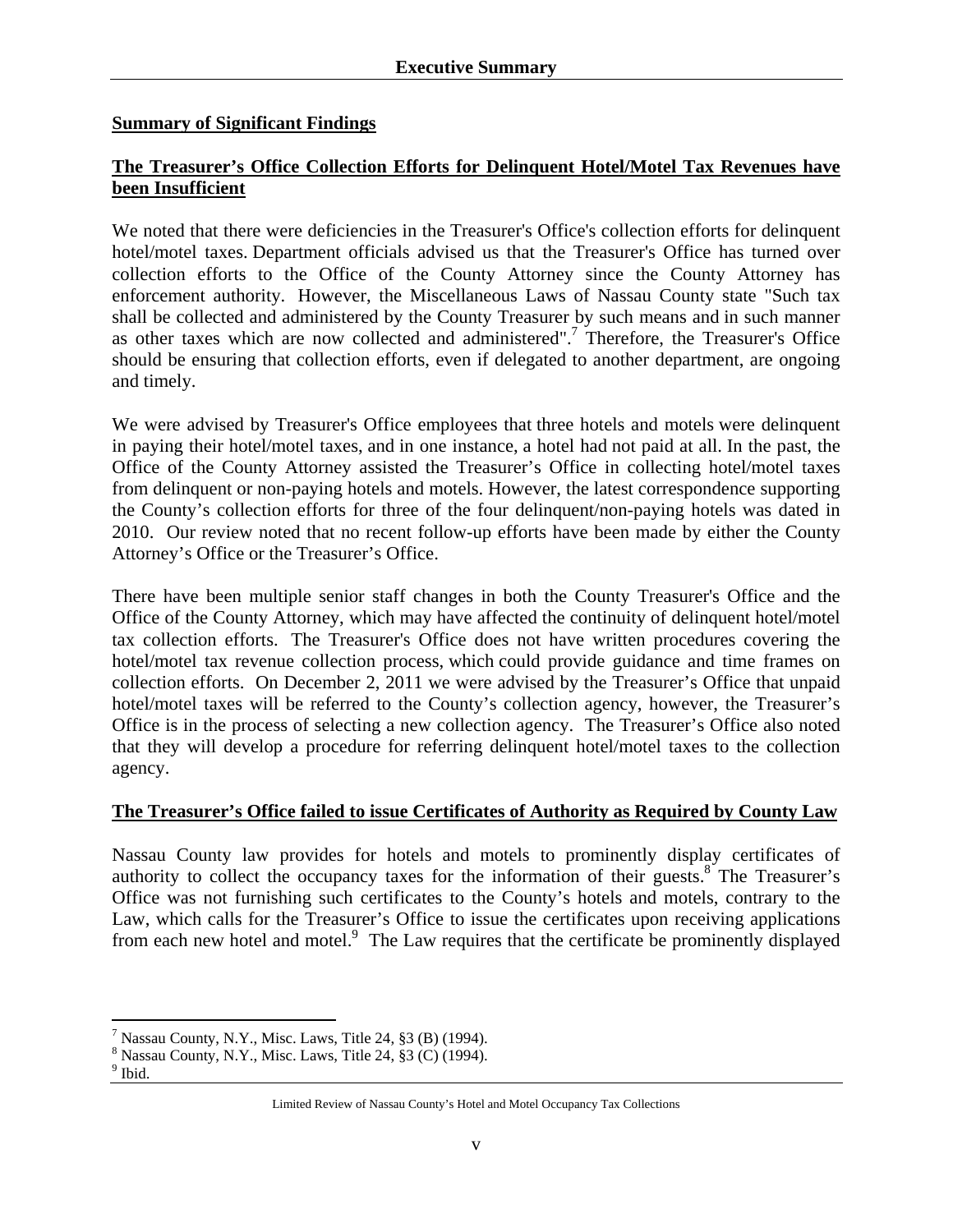#### **Summary of Significant Findings**

## **The Treasurer's Office Collection Efforts for Delinquent Hotel/Motel Tax Revenues have been Insufficient**

We noted that there were deficiencies in the Treasurer's Office's collection efforts for delinquent hotel/motel taxes. Department officials advised us that the Treasurer's Office has turned over collection efforts to the Office of the County Attorney since the County Attorney has enforcement authority. However, the Miscellaneous Laws of Nassau County state "Such tax shall be collected and administered by the County Treasurer by such means and in such manner as other taxes which are now collected and administered".<sup>7</sup> Therefore, the Treasurer's Office should be ensuring that collection efforts, even if delegated to another department, are ongoing and timely.

We were advised by Treasurer's Office employees that three hotels and motels were delinquent in paying their hotel/motel taxes, and in one instance, a hotel had not paid at all. In the past, the Office of the County Attorney assisted the Treasurer's Office in collecting hotel/motel taxes from delinquent or non-paying hotels and motels. However, the latest correspondence supporting the County's collection efforts for three of the four delinquent/non-paying hotels was dated in 2010. Our review noted that no recent follow-up efforts have been made by either the County Attorney's Office or the Treasurer's Office.

There have been multiple senior staff changes in both the County Treasurer's Office and the Office of the County Attorney, which may have affected the continuity of delinquent hotel/motel tax collection efforts. The Treasurer's Office does not have written procedures covering the hotel/motel tax revenue collection process, which could provide guidance and time frames on collection efforts. On December 2, 2011 we were advised by the Treasurer's Office that unpaid hotel/motel taxes will be referred to the County's collection agency, however, the Treasurer's Office is in the process of selecting a new collection agency. The Treasurer's Office also noted that they will develop a procedure for referring delinquent hotel/motel taxes to the collection agency.

## **The Treasurer's Office failed to issue Certificates of Authority as Required by County Law**

Nassau County law provides for hotels and motels to prominently display certificates of authority to collect the occupancy taxes for the information of their guests.<sup>8</sup> The Treasurer's Office was not furnishing such certificates to the County's hotels and motels, contrary to the Law, which calls for the Treasurer's Office to issue the certificates upon receiving applications from each new hotel and motel.<sup>9</sup> The Law requires that the certificate be prominently displayed

 $\overline{a}$ 

<sup>&</sup>lt;sup>7</sup> Nassau County, N.Y., Misc. Laws, Title 24,  $\S 3$  (B) (1994).

 $8$  Nassau County, N.Y., Misc. Laws, Title 24,  $\S 3$  (C) (1994).

<sup>&</sup>lt;sup>9</sup> Ibid.

Limited Review of Nassau County's Hotel and Motel Occupancy Tax Collections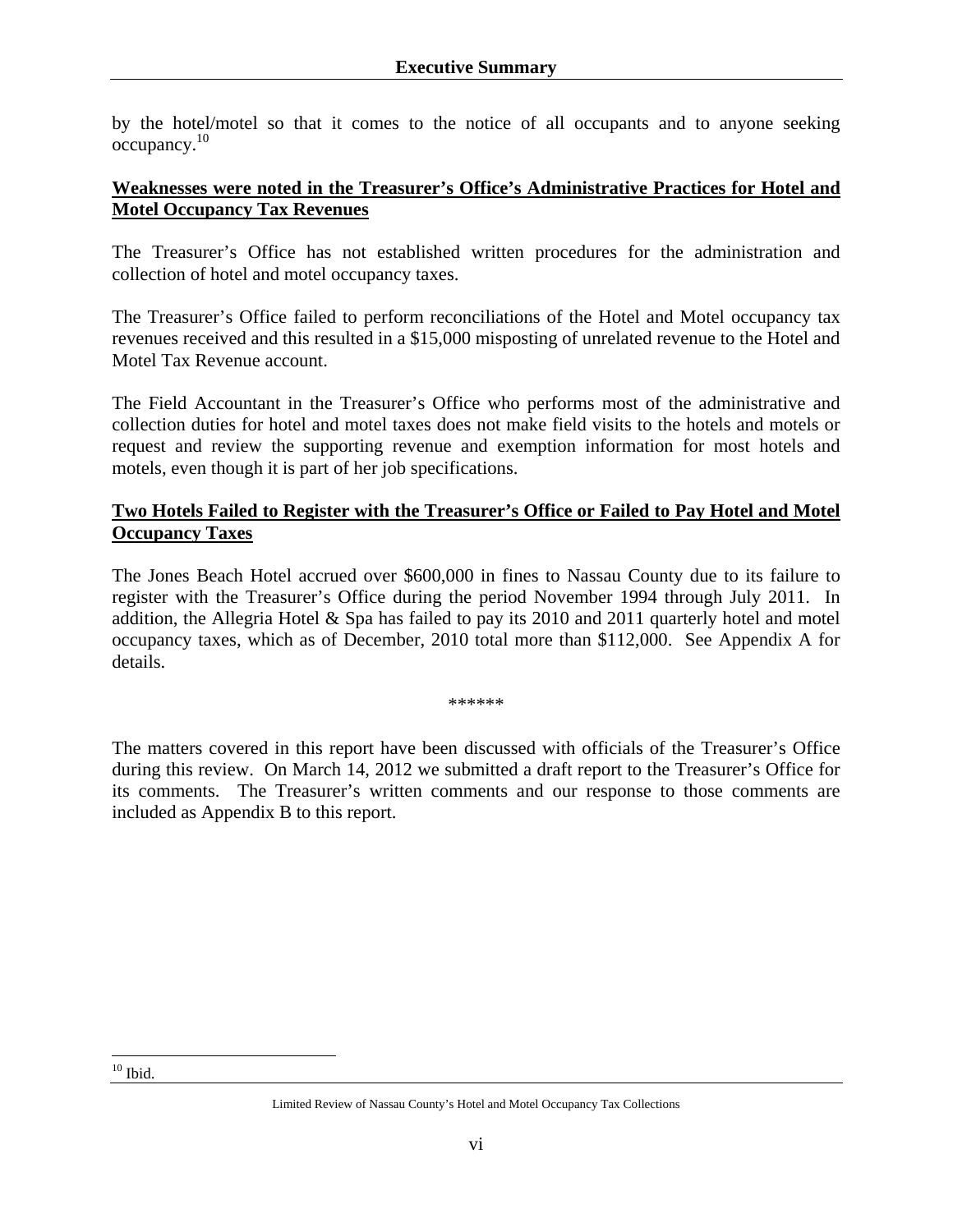by the hotel/motel so that it comes to the notice of all occupants and to anyone seeking occupancy.10

#### **Weaknesses were noted in the Treasurer's Office's Administrative Practices for Hotel and Motel Occupancy Tax Revenues**

The Treasurer's Office has not established written procedures for the administration and collection of hotel and motel occupancy taxes.

The Treasurer's Office failed to perform reconciliations of the Hotel and Motel occupancy tax revenues received and this resulted in a \$15,000 misposting of unrelated revenue to the Hotel and Motel Tax Revenue account.

The Field Accountant in the Treasurer's Office who performs most of the administrative and collection duties for hotel and motel taxes does not make field visits to the hotels and motels or request and review the supporting revenue and exemption information for most hotels and motels, even though it is part of her job specifications.

## **Two Hotels Failed to Register with the Treasurer's Office or Failed to Pay Hotel and Motel Occupancy Taxes**

The Jones Beach Hotel accrued over \$600,000 in fines to Nassau County due to its failure to register with the Treasurer's Office during the period November 1994 through July 2011. In addition, the Allegria Hotel & Spa has failed to pay its 2010 and 2011 quarterly hotel and motel occupancy taxes, which as of December, 2010 total more than \$112,000. See Appendix A for details.

\*\*\*\*\*\*

The matters covered in this report have been discussed with officials of the Treasurer's Office during this review. On March 14, 2012 we submitted a draft report to the Treasurer's Office for its comments. The Treasurer's written comments and our response to those comments are included as Appendix B to this report.

 $\overline{a}$  $10$  Ibid.

Limited Review of Nassau County's Hotel and Motel Occupancy Tax Collections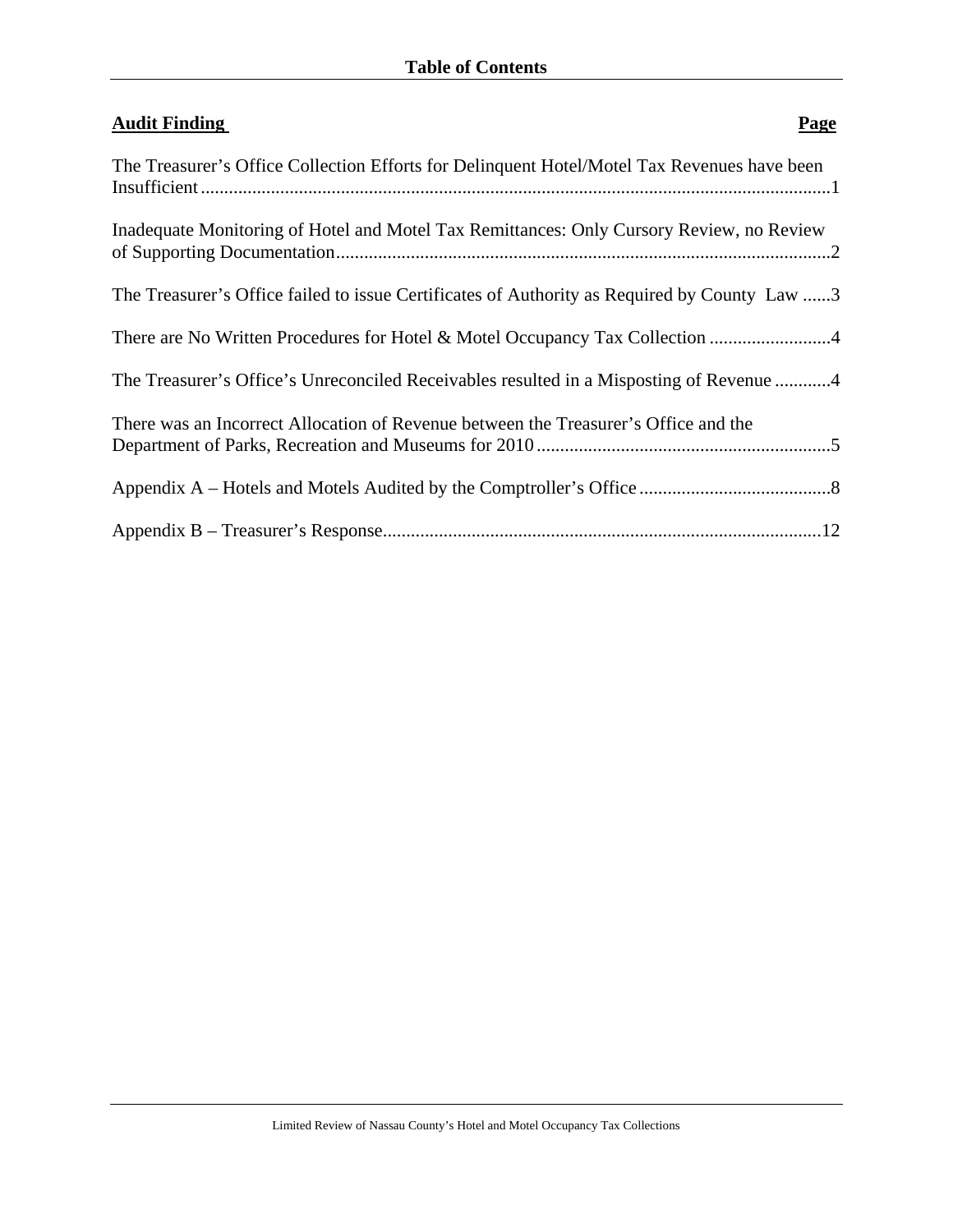| <b>Audit Finding</b><br><b>Page</b>                                                          |
|----------------------------------------------------------------------------------------------|
| The Treasurer's Office Collection Efforts for Delinquent Hotel/Motel Tax Revenues have been  |
| Inadequate Monitoring of Hotel and Motel Tax Remittances: Only Cursory Review, no Review     |
| The Treasurer's Office failed to issue Certificates of Authority as Required by County Law 3 |
| There are No Written Procedures for Hotel & Motel Occupancy Tax Collection                   |
| The Treasurer's Office's Unreconciled Receivables resulted in a Misposting of Revenue 4      |
| There was an Incorrect Allocation of Revenue between the Treasurer's Office and the          |
|                                                                                              |
|                                                                                              |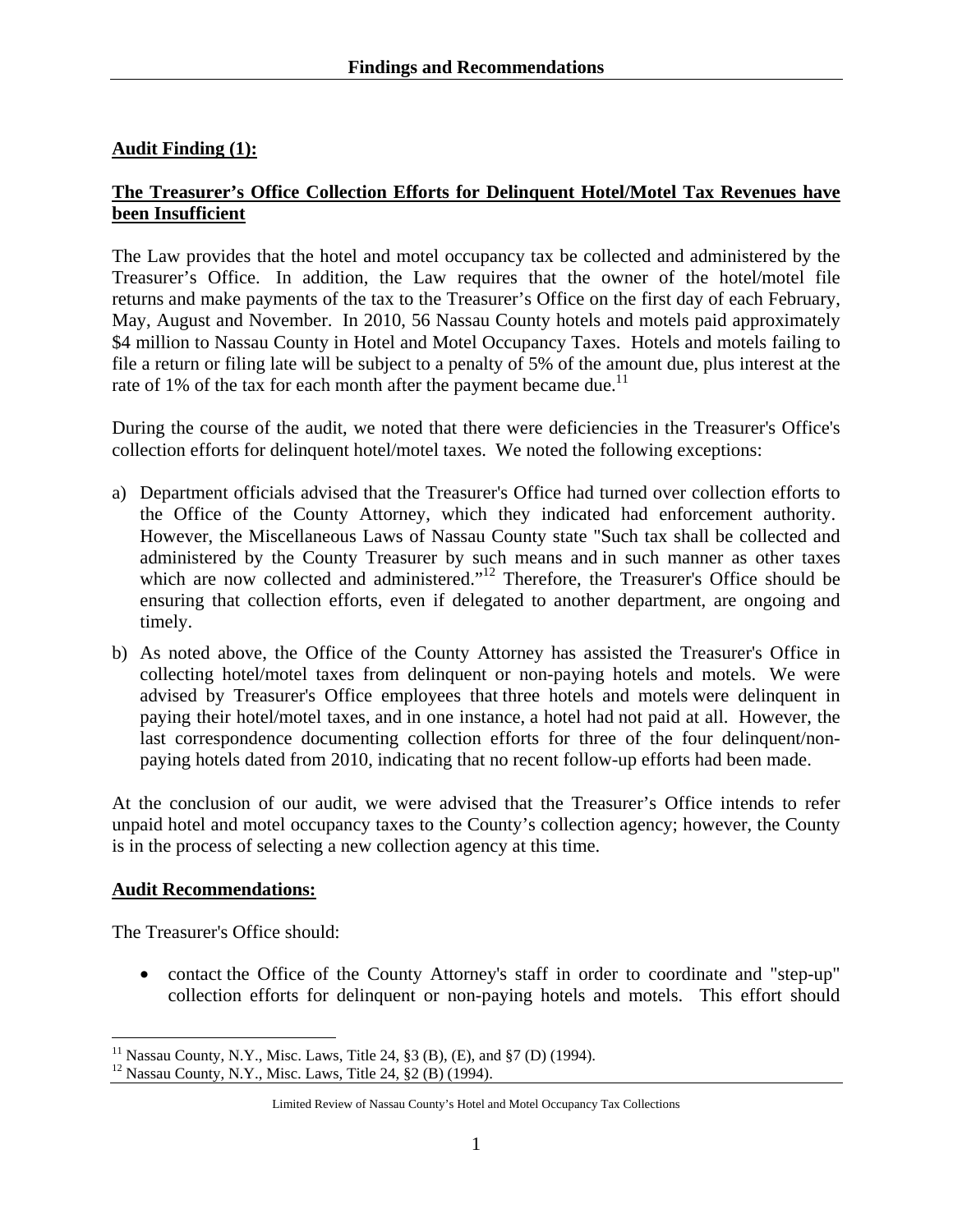## **Audit Finding (1):**

## **The Treasurer's Office Collection Efforts for Delinquent Hotel/Motel Tax Revenues have been Insufficient**

The Law provides that the hotel and motel occupancy tax be collected and administered by the Treasurer's Office. In addition, the Law requires that the owner of the hotel/motel file returns and make payments of the tax to the Treasurer's Office on the first day of each February, May, August and November. In 2010, 56 Nassau County hotels and motels paid approximately \$4 million to Nassau County in Hotel and Motel Occupancy Taxes. Hotels and motels failing to file a return or filing late will be subject to a penalty of 5% of the amount due, plus interest at the rate of 1% of the tax for each month after the payment became due.<sup>11</sup>

During the course of the audit, we noted that there were deficiencies in the Treasurer's Office's collection efforts for delinquent hotel/motel taxes. We noted the following exceptions:

- a) Department officials advised that the Treasurer's Office had turned over collection efforts to the Office of the County Attorney, which they indicated had enforcement authority. However, the Miscellaneous Laws of Nassau County state "Such tax shall be collected and administered by the County Treasurer by such means and in such manner as other taxes which are now collected and administered."<sup>12</sup> Therefore, the Treasurer's Office should be ensuring that collection efforts, even if delegated to another department, are ongoing and timely.
- b) As noted above, the Office of the County Attorney has assisted the Treasurer's Office in collecting hotel/motel taxes from delinquent or non-paying hotels and motels. We were advised by Treasurer's Office employees that three hotels and motels were delinquent in paying their hotel/motel taxes, and in one instance, a hotel had not paid at all. However, the last correspondence documenting collection efforts for three of the four delinquent/nonpaying hotels dated from 2010, indicating that no recent follow-up efforts had been made.

At the conclusion of our audit, we were advised that the Treasurer's Office intends to refer unpaid hotel and motel occupancy taxes to the County's collection agency; however, the County is in the process of selecting a new collection agency at this time.

## **Audit Recommendations:**

 $\overline{a}$ 

The Treasurer's Office should:

• contact the Office of the County Attorney's staff in order to coordinate and "step-up" collection efforts for delinquent or non-paying hotels and motels. This effort should

<sup>&</sup>lt;sup>11</sup> Nassau County, N.Y., Misc. Laws, Title 24, §3 (B), (E), and §7 (D) (1994).<br><sup>12</sup> Nassau County, N.Y., Misc. Laws, Title 24, §2 (B) (1994).

Limited Review of Nassau County's Hotel and Motel Occupancy Tax Collections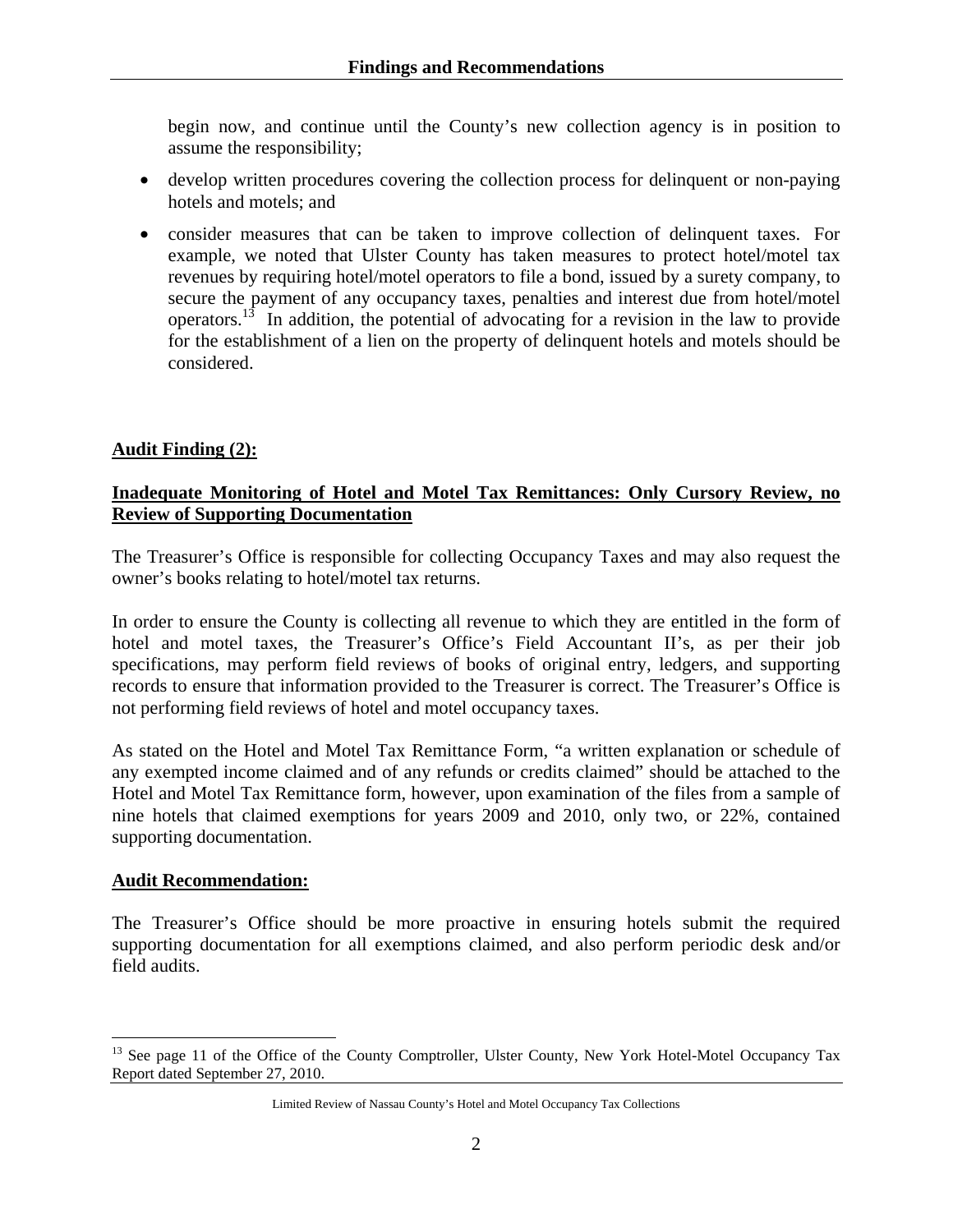begin now, and continue until the County's new collection agency is in position to assume the responsibility;

- develop written procedures covering the collection process for delinquent or non-paying hotels and motels; and
- consider measures that can be taken to improve collection of delinquent taxes. For example, we noted that Ulster County has taken measures to protect hotel/motel tax revenues by requiring hotel/motel operators to file a bond, issued by a surety company, to secure the payment of any occupancy taxes, penalties and interest due from hotel/motel operators.<sup>13</sup> In addition, the potential of advocating for a revision in the law to provide for the establishment of a lien on the property of delinquent hotels and motels should be considered.

#### **Audit Finding (2):**

#### **Inadequate Monitoring of Hotel and Motel Tax Remittances: Only Cursory Review, no Review of Supporting Documentation**

The Treasurer's Office is responsible for collecting Occupancy Taxes and may also request the owner's books relating to hotel/motel tax returns.

In order to ensure the County is collecting all revenue to which they are entitled in the form of hotel and motel taxes, the Treasurer's Office's Field Accountant II's, as per their job specifications, may perform field reviews of books of original entry, ledgers, and supporting records to ensure that information provided to the Treasurer is correct. The Treasurer's Office is not performing field reviews of hotel and motel occupancy taxes.

As stated on the Hotel and Motel Tax Remittance Form, "a written explanation or schedule of any exempted income claimed and of any refunds or credits claimed" should be attached to the Hotel and Motel Tax Remittance form, however, upon examination of the files from a sample of nine hotels that claimed exemptions for years 2009 and 2010, only two, or 22%, contained supporting documentation.

#### **Audit Recommendation:**

The Treasurer's Office should be more proactive in ensuring hotels submit the required supporting documentation for all exemptions claimed, and also perform periodic desk and/or field audits.

 $\overline{a}$ <sup>13</sup> See page 11 of the Office of the County Comptroller, Ulster County, New York Hotel-Motel Occupancy Tax Report dated September 27, 2010.

Limited Review of Nassau County's Hotel and Motel Occupancy Tax Collections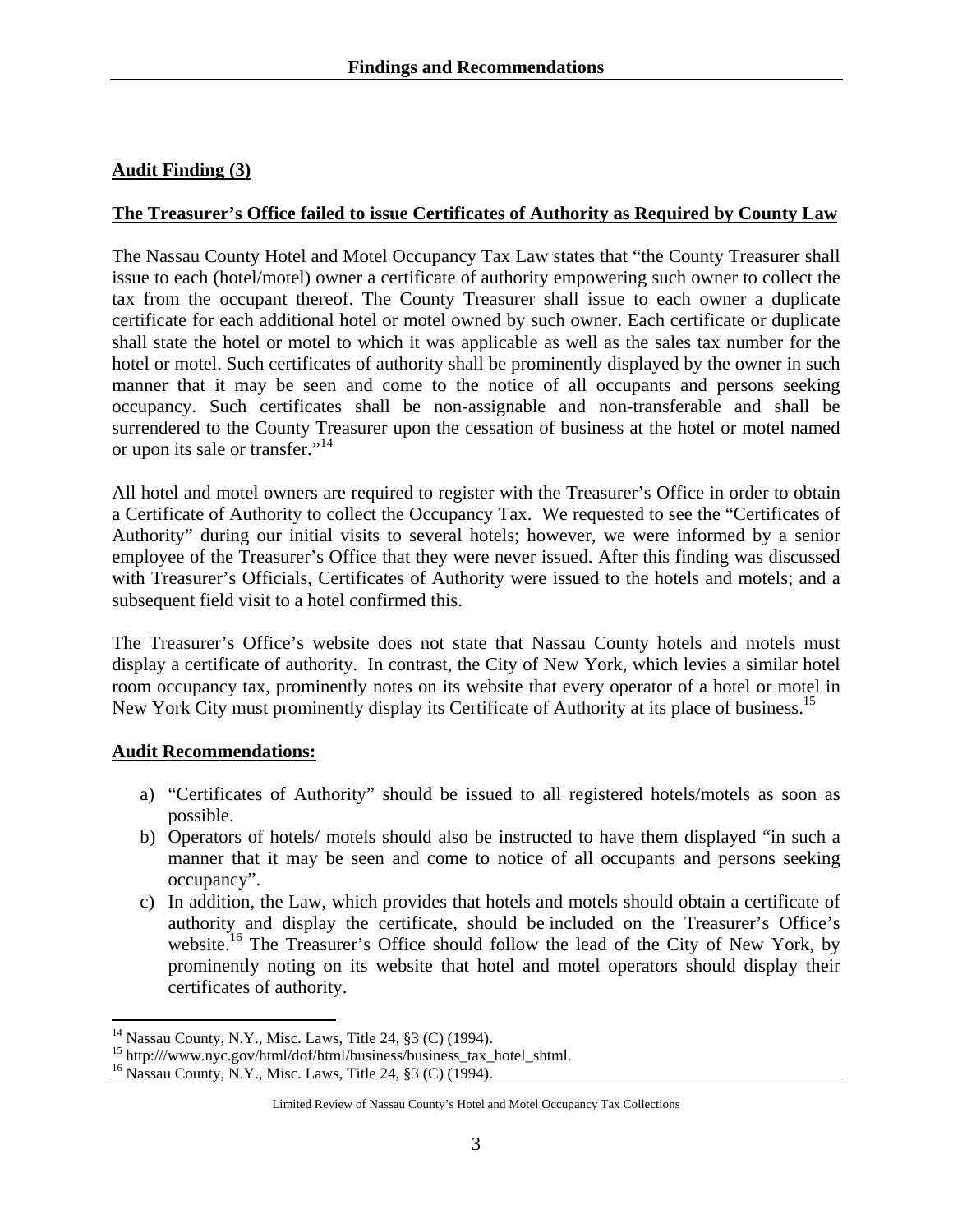## **Audit Finding (3)**

#### **The Treasurer's Office failed to issue Certificates of Authority as Required by County Law**

The Nassau County Hotel and Motel Occupancy Tax Law states that "the County Treasurer shall issue to each (hotel/motel) owner a certificate of authority empowering such owner to collect the tax from the occupant thereof. The County Treasurer shall issue to each owner a duplicate certificate for each additional hotel or motel owned by such owner. Each certificate or duplicate shall state the hotel or motel to which it was applicable as well as the sales tax number for the hotel or motel. Such certificates of authority shall be prominently displayed by the owner in such manner that it may be seen and come to the notice of all occupants and persons seeking occupancy. Such certificates shall be non-assignable and non-transferable and shall be surrendered to the County Treasurer upon the cessation of business at the hotel or motel named or upon its sale or transfer."<sup>14</sup>

All hotel and motel owners are required to register with the Treasurer's Office in order to obtain a Certificate of Authority to collect the Occupancy Tax. We requested to see the "Certificates of Authority" during our initial visits to several hotels; however, we were informed by a senior employee of the Treasurer's Office that they were never issued. After this finding was discussed with Treasurer's Officials, Certificates of Authority were issued to the hotels and motels; and a subsequent field visit to a hotel confirmed this.

The Treasurer's Office's website does not state that Nassau County hotels and motels must display a certificate of authority. In contrast, the City of New York, which levies a similar hotel room occupancy tax, prominently notes on its website that every operator of a hotel or motel in New York City must prominently display its Certificate of Authority at its place of business.<sup>15</sup>

#### **Audit Recommendations:**

1

- a) "Certificates of Authority" should be issued to all registered hotels/motels as soon as possible.
- b) Operators of hotels/ motels should also be instructed to have them displayed "in such a manner that it may be seen and come to notice of all occupants and persons seeking occupancy".
- c) In addition, the Law, which provides that hotels and motels should obtain a certificate of authority and display the certificate, should be included on the Treasurer's Office's website.<sup>16</sup> The Treasurer's Office should follow the lead of the City of New York, by prominently noting on its website that hotel and motel operators should display their certificates of authority.

<sup>&</sup>lt;sup>14</sup> Nassau County, N.Y., Misc. Laws, Title 24, §3 (C) (1994).

<sup>15</sup> http:///www.nyc.gov/html/dof/html/business/business\_tax\_hotel\_shtml.

<sup>16</sup> Nassau County, N.Y., Misc. Laws, Title 24, §3 (C) (1994).

Limited Review of Nassau County's Hotel and Motel Occupancy Tax Collections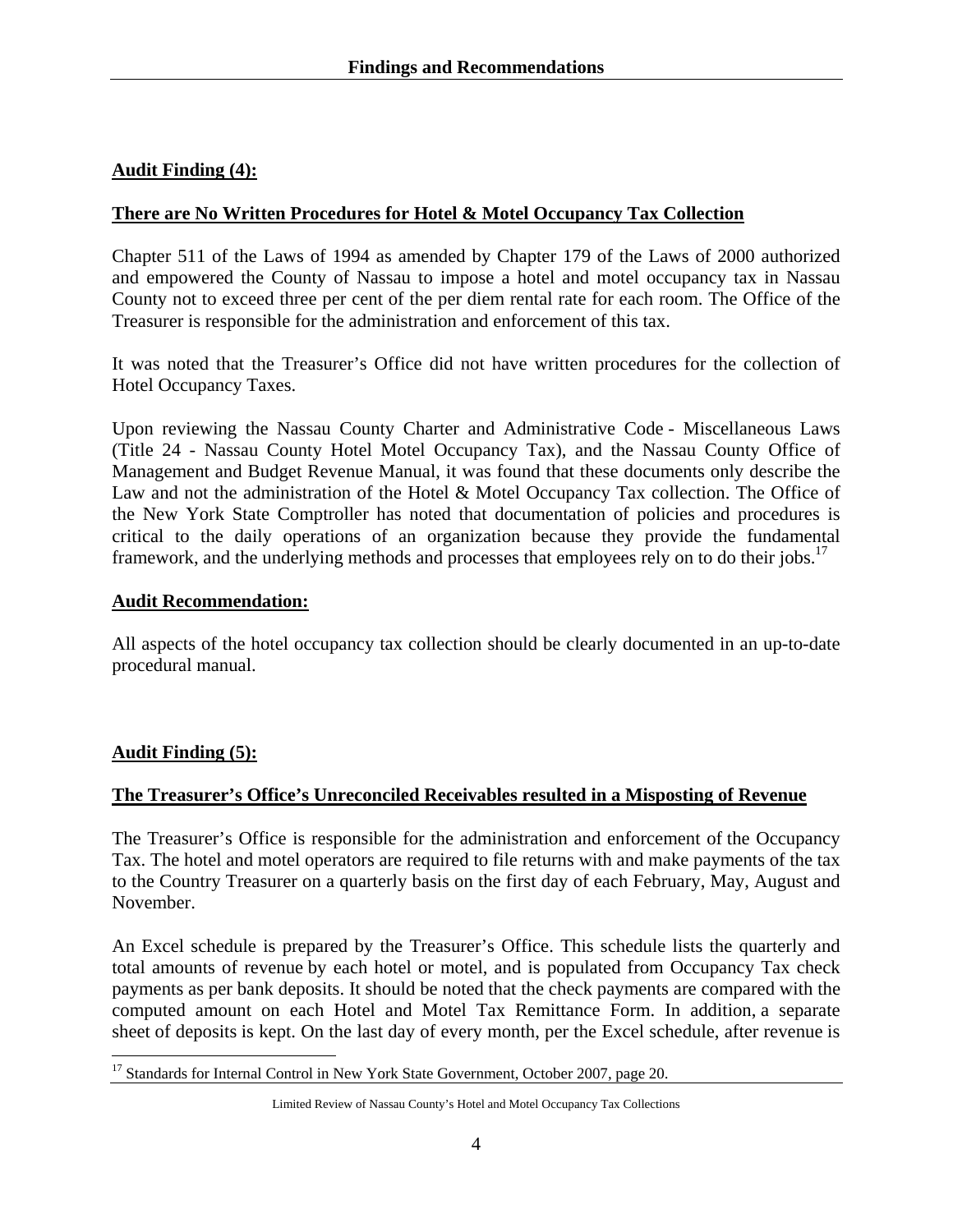## **Audit Finding (4):**

#### **There are No Written Procedures for Hotel & Motel Occupancy Tax Collection**

Chapter 511 of the Laws of 1994 as amended by Chapter 179 of the Laws of 2000 authorized and empowered the County of Nassau to impose a hotel and motel occupancy tax in Nassau County not to exceed three per cent of the per diem rental rate for each room. The Office of the Treasurer is responsible for the administration and enforcement of this tax.

It was noted that the Treasurer's Office did not have written procedures for the collection of Hotel Occupancy Taxes.

Upon reviewing the Nassau County Charter and Administrative Code - Miscellaneous Laws (Title 24 - Nassau County Hotel Motel Occupancy Tax), and the Nassau County Office of Management and Budget Revenue Manual, it was found that these documents only describe the Law and not the administration of the Hotel & Motel Occupancy Tax collection. The Office of the New York State Comptroller has noted that documentation of policies and procedures is critical to the daily operations of an organization because they provide the fundamental framework, and the underlying methods and processes that employees rely on to do their jobs.<sup>17</sup>

#### **Audit Recommendation:**

All aspects of the hotel occupancy tax collection should be clearly documented in an up-to-date procedural manual.

#### **Audit Finding (5):**

 $\overline{a}$ 

#### **The Treasurer's Office's Unreconciled Receivables resulted in a Misposting of Revenue**

The Treasurer's Office is responsible for the administration and enforcement of the Occupancy Tax. The hotel and motel operators are required to file returns with and make payments of the tax to the Country Treasurer on a quarterly basis on the first day of each February, May, August and November.

An Excel schedule is prepared by the Treasurer's Office. This schedule lists the quarterly and total amounts of revenue by each hotel or motel, and is populated from Occupancy Tax check payments as per bank deposits. It should be noted that the check payments are compared with the computed amount on each Hotel and Motel Tax Remittance Form. In addition, a separate sheet of deposits is kept. On the last day of every month, per the Excel schedule, after revenue is

<sup>&</sup>lt;sup>17</sup> Standards for Internal Control in New York State Government, October 2007, page 20.

Limited Review of Nassau County's Hotel and Motel Occupancy Tax Collections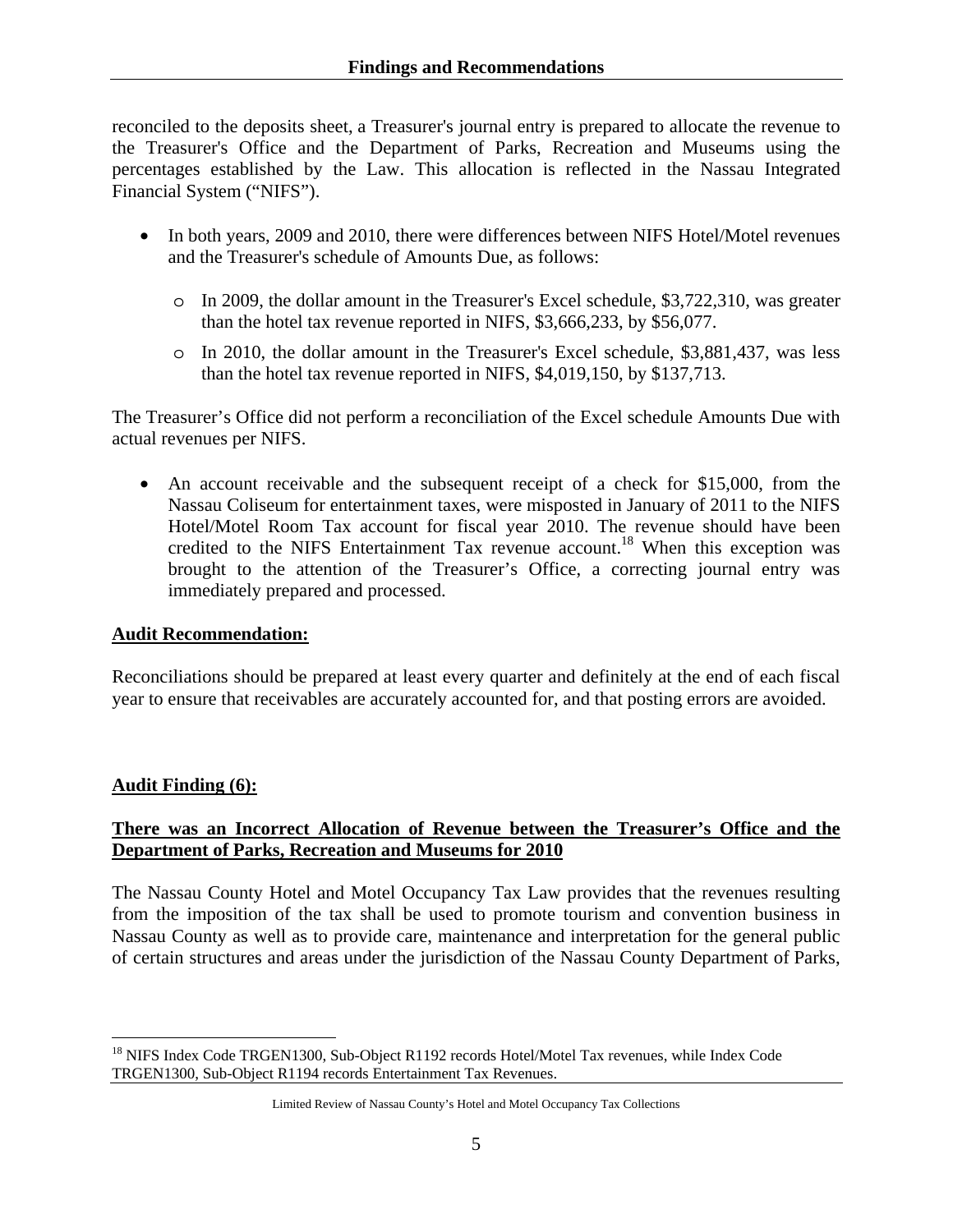reconciled to the deposits sheet, a Treasurer's journal entry is prepared to allocate the revenue to the Treasurer's Office and the Department of Parks, Recreation and Museums using the percentages established by the Law. This allocation is reflected in the Nassau Integrated Financial System ("NIFS").

- In both years, 2009 and 2010, there were differences between NIFS Hotel/Motel revenues and the Treasurer's schedule of Amounts Due, as follows:
	- o In 2009, the dollar amount in the Treasurer's Excel schedule, \$3,722,310, was greater than the hotel tax revenue reported in NIFS, \$3,666,233, by \$56,077.
	- o In 2010, the dollar amount in the Treasurer's Excel schedule, \$3,881,437, was less than the hotel tax revenue reported in NIFS, \$4,019,150, by \$137,713.

The Treasurer's Office did not perform a reconciliation of the Excel schedule Amounts Due with actual revenues per NIFS.

• An account receivable and the subsequent receipt of a check for \$15,000, from the Nassau Coliseum for entertainment taxes, were misposted in January of 2011 to the NIFS Hotel/Motel Room Tax account for fiscal year 2010. The revenue should have been credited to the NIFS Entertainment Tax revenue account.<sup>18</sup> When this exception was brought to the attention of the Treasurer's Office, a correcting journal entry was immediately prepared and processed.

## **Audit Recommendation:**

Reconciliations should be prepared at least every quarter and definitely at the end of each fiscal year to ensure that receivables are accurately accounted for, and that posting errors are avoided.

## **Audit Finding (6):**

 $\overline{a}$ 

## **There was an Incorrect Allocation of Revenue between the Treasurer's Office and the Department of Parks, Recreation and Museums for 2010**

The Nassau County Hotel and Motel Occupancy Tax Law provides that the revenues resulting from the imposition of the tax shall be used to promote tourism and convention business in Nassau County as well as to provide care, maintenance and interpretation for the general public of certain structures and areas under the jurisdiction of the Nassau County Department of Parks,

<sup>&</sup>lt;sup>18</sup> NIFS Index Code TRGEN1300, Sub-Object R1192 records Hotel/Motel Tax revenues, while Index Code TRGEN1300, Sub-Object R1194 records Entertainment Tax Revenues.

Limited Review of Nassau County's Hotel and Motel Occupancy Tax Collections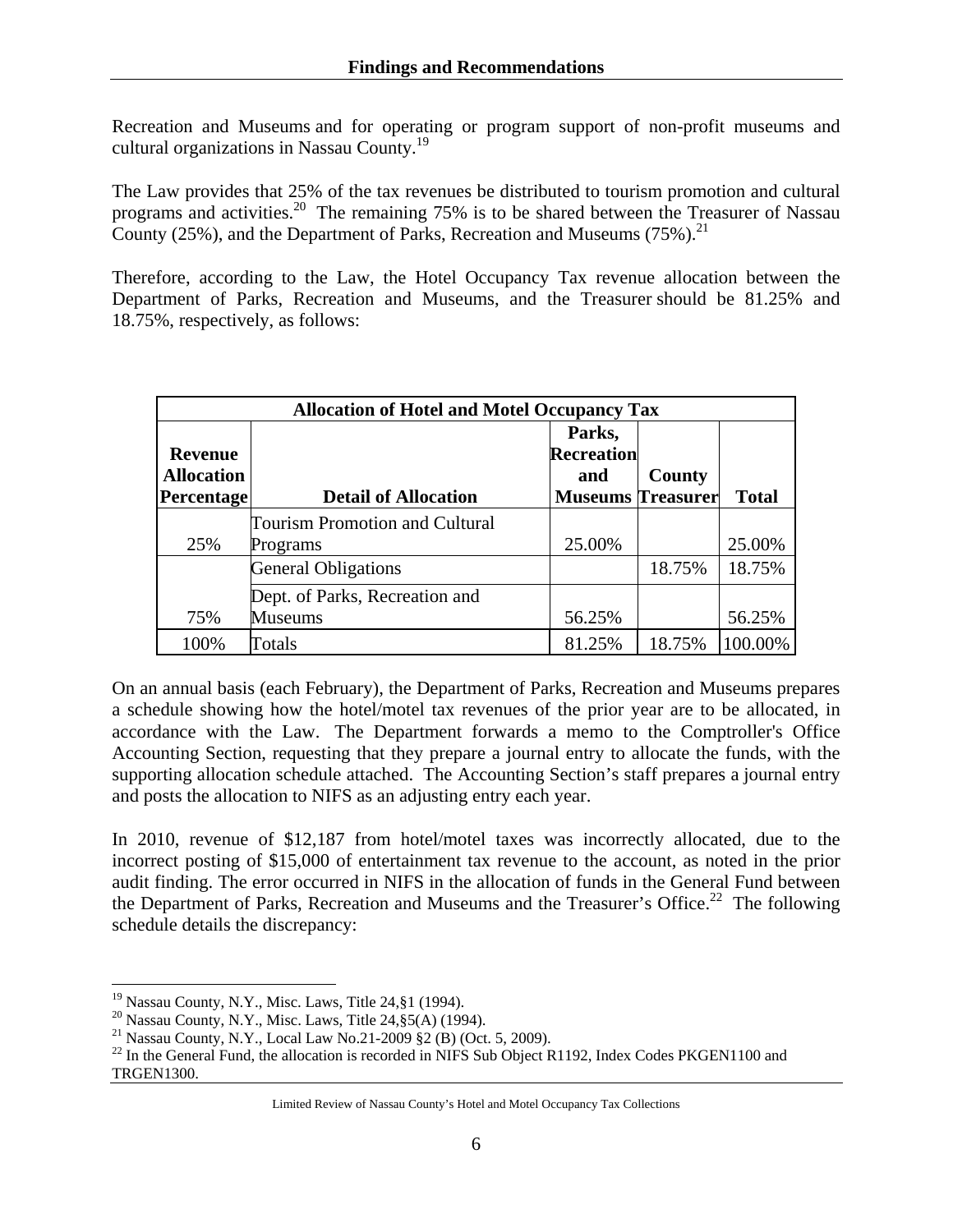Recreation and Museums and for operating or program support of non-profit museums and cultural organizations in Nassau County.19

The Law provides that 25% of the tax revenues be distributed to tourism promotion and cultural programs and activities.<sup>20</sup> The remaining 75% is to be shared between the Treasurer of Nassau County (25%), and the Department of Parks, Recreation and Museums (75%).<sup>21</sup>

Therefore, according to the Law, the Hotel Occupancy Tax revenue allocation between the Department of Parks, Recreation and Museums, and the Treasurer should be 81.25% and 18.75%, respectively, as follows:

| <b>Allocation of Hotel and Motel Occupancy Tax</b> |                                       |                          |        |              |
|----------------------------------------------------|---------------------------------------|--------------------------|--------|--------------|
|                                                    |                                       | Parks,                   |        |              |
| <b>Revenue</b>                                     |                                       | <b>Recreation</b>        |        |              |
| <b>Allocation</b>                                  |                                       | and                      | County |              |
| <b>Percentage</b>                                  | <b>Detail of Allocation</b>           | <b>Museums Treasurer</b> |        | <b>Total</b> |
|                                                    | <b>Tourism Promotion and Cultural</b> |                          |        |              |
| 25%                                                | Programs                              | 25.00%                   |        | 25.00%       |
|                                                    | <b>General Obligations</b>            |                          | 18.75% | 18.75%       |
|                                                    | Dept. of Parks, Recreation and        |                          |        |              |
| 75%                                                | <b>Museums</b>                        | 56.25%                   |        | 56.25%       |
| 100%                                               | Totals                                | 81.25%                   | 18.75% | 100.00%      |

On an annual basis (each February), the Department of Parks, Recreation and Museums prepares a schedule showing how the hotel/motel tax revenues of the prior year are to be allocated, in accordance with the Law. The Department forwards a memo to the Comptroller's Office Accounting Section, requesting that they prepare a journal entry to allocate the funds, with the supporting allocation schedule attached. The Accounting Section's staff prepares a journal entry and posts the allocation to NIFS as an adjusting entry each year.

In 2010, revenue of \$12,187 from hotel/motel taxes was incorrectly allocated, due to the incorrect posting of \$15,000 of entertainment tax revenue to the account, as noted in the prior audit finding. The error occurred in NIFS in the allocation of funds in the General Fund between the Department of Parks, Recreation and Museums and the Treasurer's Office.<sup>22</sup> The following schedule details the discrepancy:

 $^{22}$  In the General Fund, the allocation is recorded in NIFS Sub Object R1192, Index Codes PKGEN1100 and TRGEN1300.

 $\overline{a}$  $19$  Nassau County, N.Y., Misc. Laws, Title 24, §1 (1994).

 $20$  Nassau County, N.Y., Misc. Laws, Title 24, §5(A) (1994).

<sup>&</sup>lt;sup>21</sup> Nassau County, N.Y., Local Law No.21-2009  $\S 2$  (B) (Oct. 5, 2009).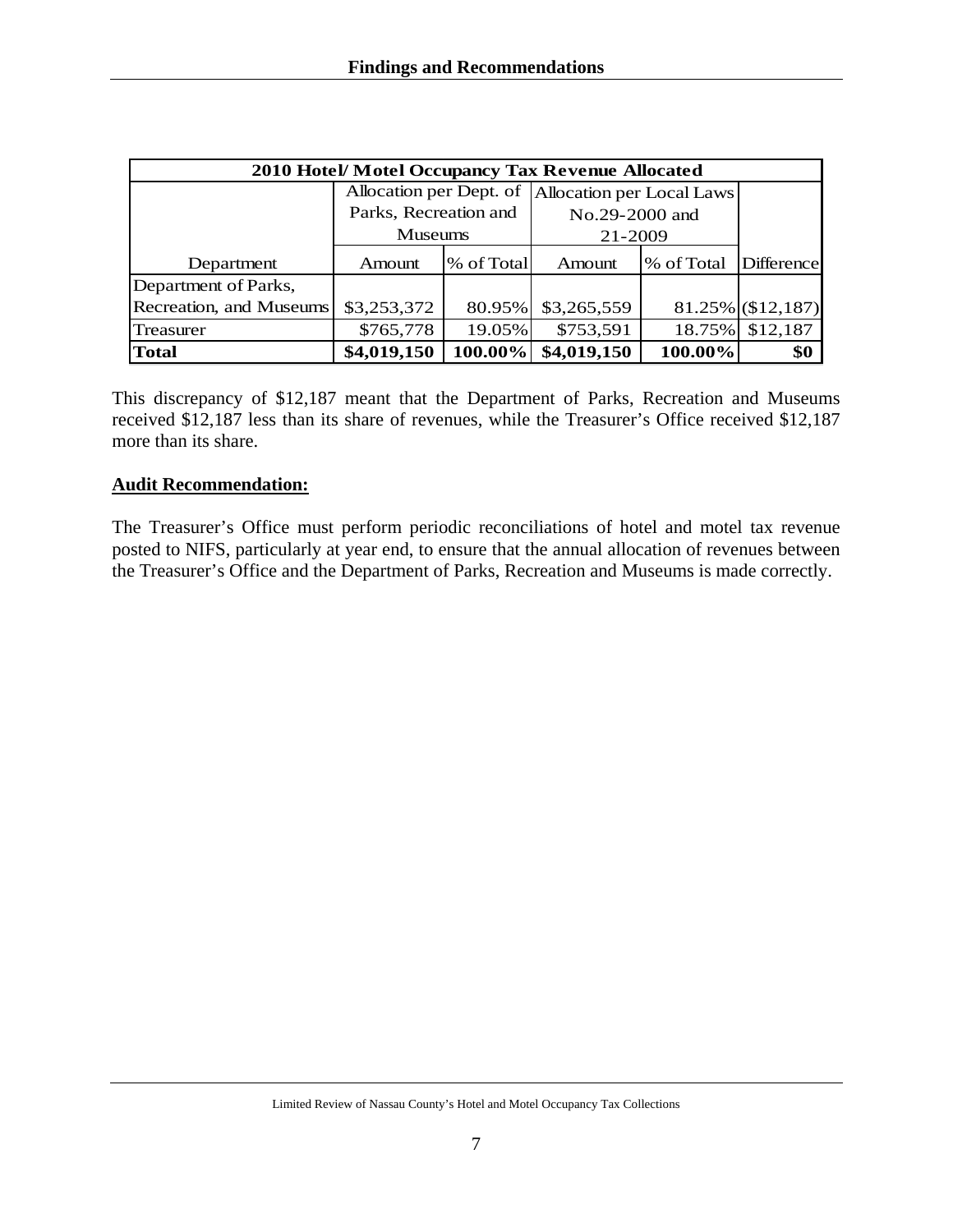| 2010 Hotel/Motel Occupancy Tax Revenue Allocated |                         |            |                           |            |                      |
|--------------------------------------------------|-------------------------|------------|---------------------------|------------|----------------------|
|                                                  | Allocation per Dept. of |            | Allocation per Local Laws |            |                      |
|                                                  | Parks, Recreation and   |            | No.29-2000 and            |            |                      |
|                                                  | <b>Museums</b>          |            | 21-2009                   |            |                      |
| Department                                       | Amount                  | % of Total | Amount                    | % of Total | <b>Difference</b>    |
| Department of Parks,                             |                         |            |                           |            |                      |
| Recreation, and Museums                          | \$3,253,372             | 80.95%     | \$3,265,559               |            | $81.25\%$ (\$12,187) |
| Treasurer                                        | \$765,778               | 19.05%     | \$753,591                 |            | 18.75% \$12,187      |
| <b>Total</b>                                     | \$4,019,150             | 100.00%    | \$4,019,150               | 100.00%    | \$0                  |

This discrepancy of \$12,187 meant that the Department of Parks, Recreation and Museums received \$12,187 less than its share of revenues, while the Treasurer's Office received \$12,187 more than its share.

#### **Audit Recommendation:**

The Treasurer's Office must perform periodic reconciliations of hotel and motel tax revenue posted to NIFS, particularly at year end, to ensure that the annual allocation of revenues between the Treasurer's Office and the Department of Parks, Recreation and Museums is made correctly.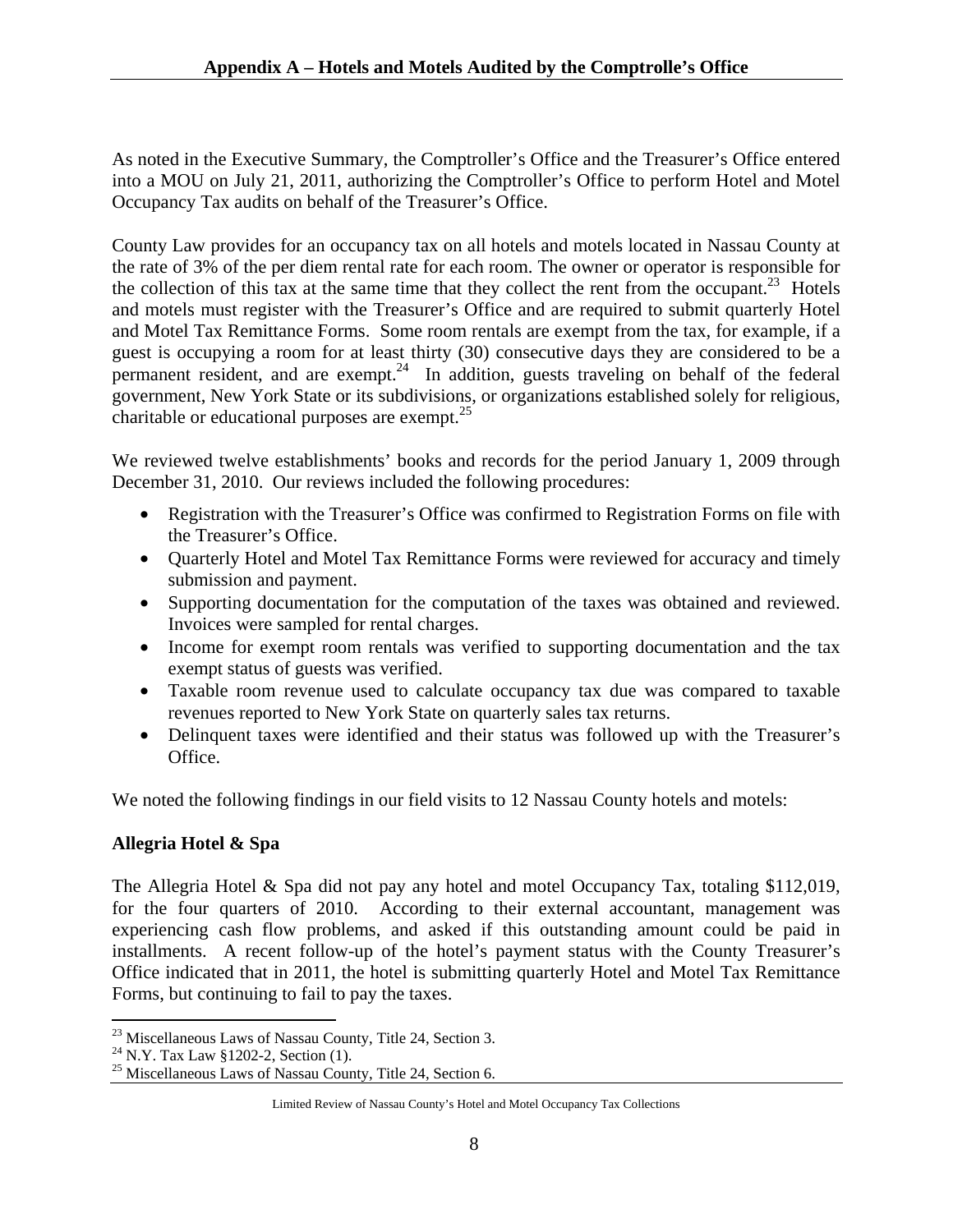As noted in the Executive Summary, the Comptroller's Office and the Treasurer's Office entered into a MOU on July 21, 2011, authorizing the Comptroller's Office to perform Hotel and Motel Occupancy Tax audits on behalf of the Treasurer's Office.

County Law provides for an occupancy tax on all hotels and motels located in Nassau County at the rate of 3% of the per diem rental rate for each room. The owner or operator is responsible for the collection of this tax at the same time that they collect the rent from the occupant.<sup>23</sup> Hotels and motels must register with the Treasurer's Office and are required to submit quarterly Hotel and Motel Tax Remittance Forms. Some room rentals are exempt from the tax, for example, if a guest is occupying a room for at least thirty (30) consecutive days they are considered to be a permanent resident, and are exempt.<sup>24</sup> In addition, guests traveling on behalf of the federal government, New York State or its subdivisions, or organizations established solely for religious, charitable or educational purposes are exempt. $^{25}$ 

We reviewed twelve establishments' books and records for the period January 1, 2009 through December 31, 2010. Our reviews included the following procedures:

- Registration with the Treasurer's Office was confirmed to Registration Forms on file with the Treasurer's Office.
- Quarterly Hotel and Motel Tax Remittance Forms were reviewed for accuracy and timely submission and payment.
- Supporting documentation for the computation of the taxes was obtained and reviewed. Invoices were sampled for rental charges.
- Income for exempt room rentals was verified to supporting documentation and the tax exempt status of guests was verified.
- Taxable room revenue used to calculate occupancy tax due was compared to taxable revenues reported to New York State on quarterly sales tax returns.
- Delinquent taxes were identified and their status was followed up with the Treasurer's Office.

We noted the following findings in our field visits to 12 Nassau County hotels and motels:

## **Allegria Hotel & Spa**

The Allegria Hotel & Spa did not pay any hotel and motel Occupancy Tax, totaling \$112,019, for the four quarters of 2010. According to their external accountant, management was experiencing cash flow problems, and asked if this outstanding amount could be paid in installments. A recent follow-up of the hotel's payment status with the County Treasurer's Office indicated that in 2011, the hotel is submitting quarterly Hotel and Motel Tax Remittance Forms, but continuing to fail to pay the taxes.

<sup>1</sup>  $^{23}$  Miscellaneous Laws of Nassau County, Title 24, Section 3.

<sup>24</sup> N.Y. Tax Law §1202-2, Section (1).

<sup>&</sup>lt;sup>25</sup> Miscellaneous Laws of Nassau County, Title 24, Section 6.

Limited Review of Nassau County's Hotel and Motel Occupancy Tax Collections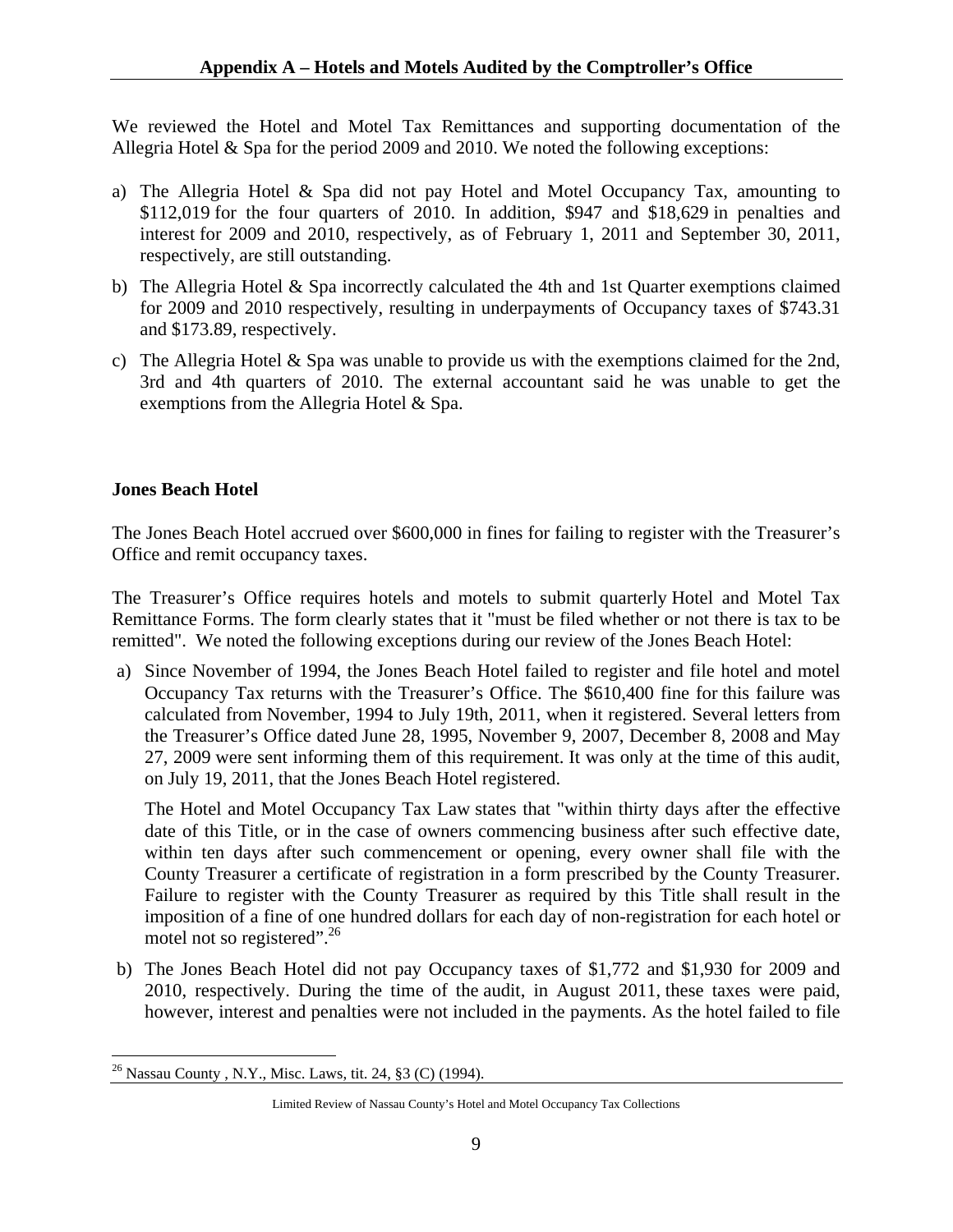We reviewed the Hotel and Motel Tax Remittances and supporting documentation of the Allegria Hotel & Spa for the period 2009 and 2010. We noted the following exceptions:

- a) The Allegria Hotel & Spa did not pay Hotel and Motel Occupancy Tax, amounting to \$112,019 for the four quarters of 2010. In addition, \$947 and \$18,629 in penalties and interest for 2009 and 2010, respectively, as of February 1, 2011 and September 30, 2011, respectively, are still outstanding.
- b) The Allegria Hotel & Spa incorrectly calculated the 4th and 1st Quarter exemptions claimed for 2009 and 2010 respectively, resulting in underpayments of Occupancy taxes of \$743.31 and \$173.89, respectively.
- c) The Allegria Hotel & Spa was unable to provide us with the exemptions claimed for the 2nd, 3rd and 4th quarters of 2010. The external accountant said he was unable to get the exemptions from the Allegria Hotel & Spa.

## **Jones Beach Hotel**

 $\overline{a}$ 

The Jones Beach Hotel accrued over \$600,000 in fines for failing to register with the Treasurer's Office and remit occupancy taxes.

The Treasurer's Office requires hotels and motels to submit quarterly Hotel and Motel Tax Remittance Forms. The form clearly states that it "must be filed whether or not there is tax to be remitted". We noted the following exceptions during our review of the Jones Beach Hotel:

a) Since November of 1994, the Jones Beach Hotel failed to register and file hotel and motel Occupancy Tax returns with the Treasurer's Office. The \$610,400 fine for this failure was calculated from November, 1994 to July 19th, 2011, when it registered. Several letters from the Treasurer's Office dated June 28, 1995, November 9, 2007, December 8, 2008 and May 27, 2009 were sent informing them of this requirement. It was only at the time of this audit, on July 19, 2011, that the Jones Beach Hotel registered.

The Hotel and Motel Occupancy Tax Law states that "within thirty days after the effective date of this Title, or in the case of owners commencing business after such effective date, within ten days after such commencement or opening, every owner shall file with the County Treasurer a certificate of registration in a form prescribed by the County Treasurer. Failure to register with the County Treasurer as required by this Title shall result in the imposition of a fine of one hundred dollars for each day of non-registration for each hotel or motel not so registered".<sup>26</sup>

b) The Jones Beach Hotel did not pay Occupancy taxes of \$1,772 and \$1,930 for 2009 and 2010, respectively. During the time of the audit, in August 2011, these taxes were paid, however, interest and penalties were not included in the payments. As the hotel failed to file

<sup>&</sup>lt;sup>26</sup> Nassau County, N.Y., Misc. Laws, tit. 24, §3 (C) (1994).

Limited Review of Nassau County's Hotel and Motel Occupancy Tax Collections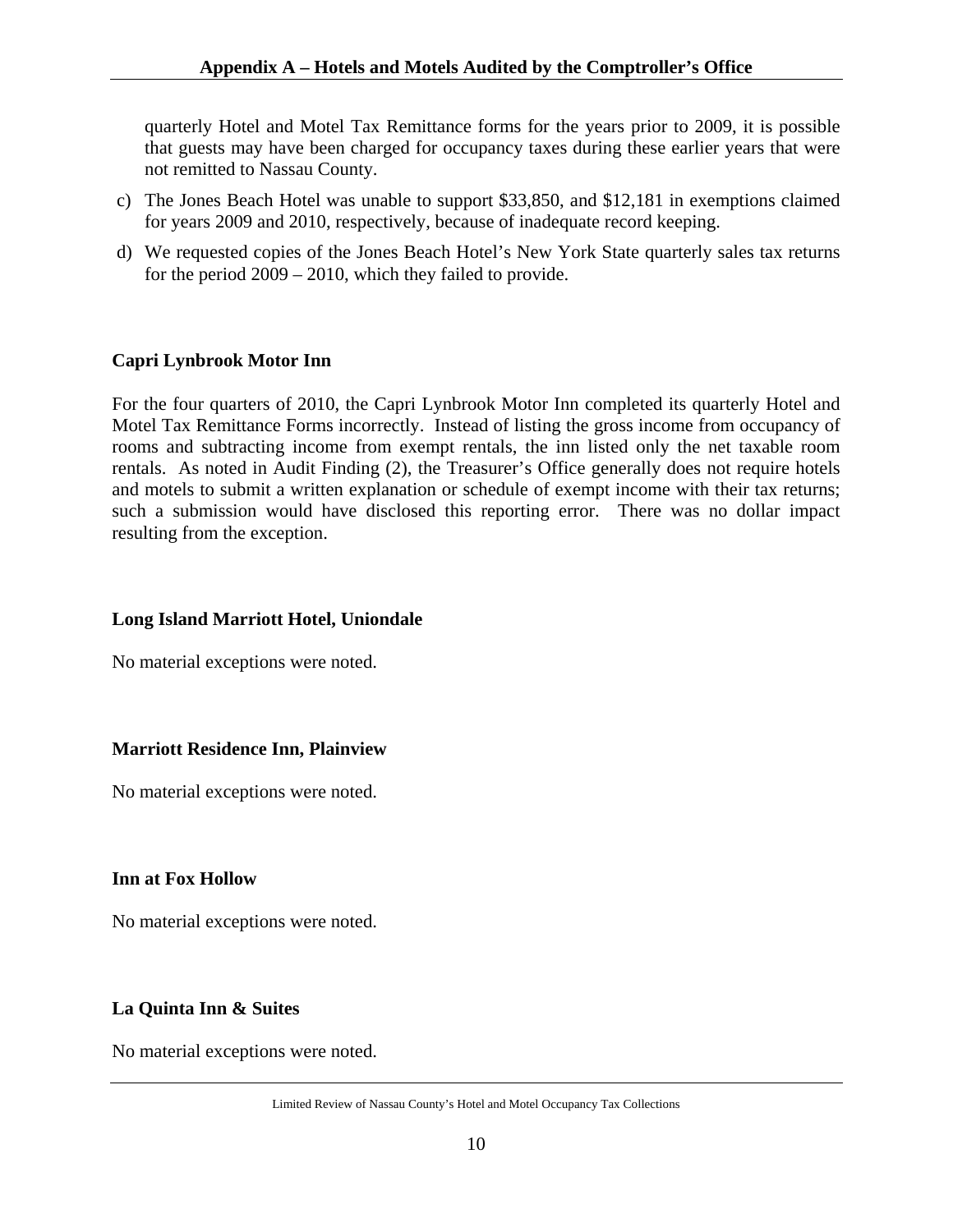quarterly Hotel and Motel Tax Remittance forms for the years prior to 2009, it is possible that guests may have been charged for occupancy taxes during these earlier years that were not remitted to Nassau County.

- c) The Jones Beach Hotel was unable to support \$33,850, and \$12,181 in exemptions claimed for years 2009 and 2010, respectively, because of inadequate record keeping.
- d) We requested copies of the Jones Beach Hotel's New York State quarterly sales tax returns for the period 2009 – 2010, which they failed to provide.

## **Capri Lynbrook Motor Inn**

For the four quarters of 2010, the Capri Lynbrook Motor Inn completed its quarterly Hotel and Motel Tax Remittance Forms incorrectly. Instead of listing the gross income from occupancy of rooms and subtracting income from exempt rentals, the inn listed only the net taxable room rentals. As noted in Audit Finding (2), the Treasurer's Office generally does not require hotels and motels to submit a written explanation or schedule of exempt income with their tax returns; such a submission would have disclosed this reporting error. There was no dollar impact resulting from the exception.

#### **Long Island Marriott Hotel, Uniondale**

No material exceptions were noted.

## **Marriott Residence Inn, Plainview**

No material exceptions were noted.

#### **Inn at Fox Hollow**

No material exceptions were noted.

## **La Quinta Inn & Suites**

No material exceptions were noted.

Limited Review of Nassau County's Hotel and Motel Occupancy Tax Collections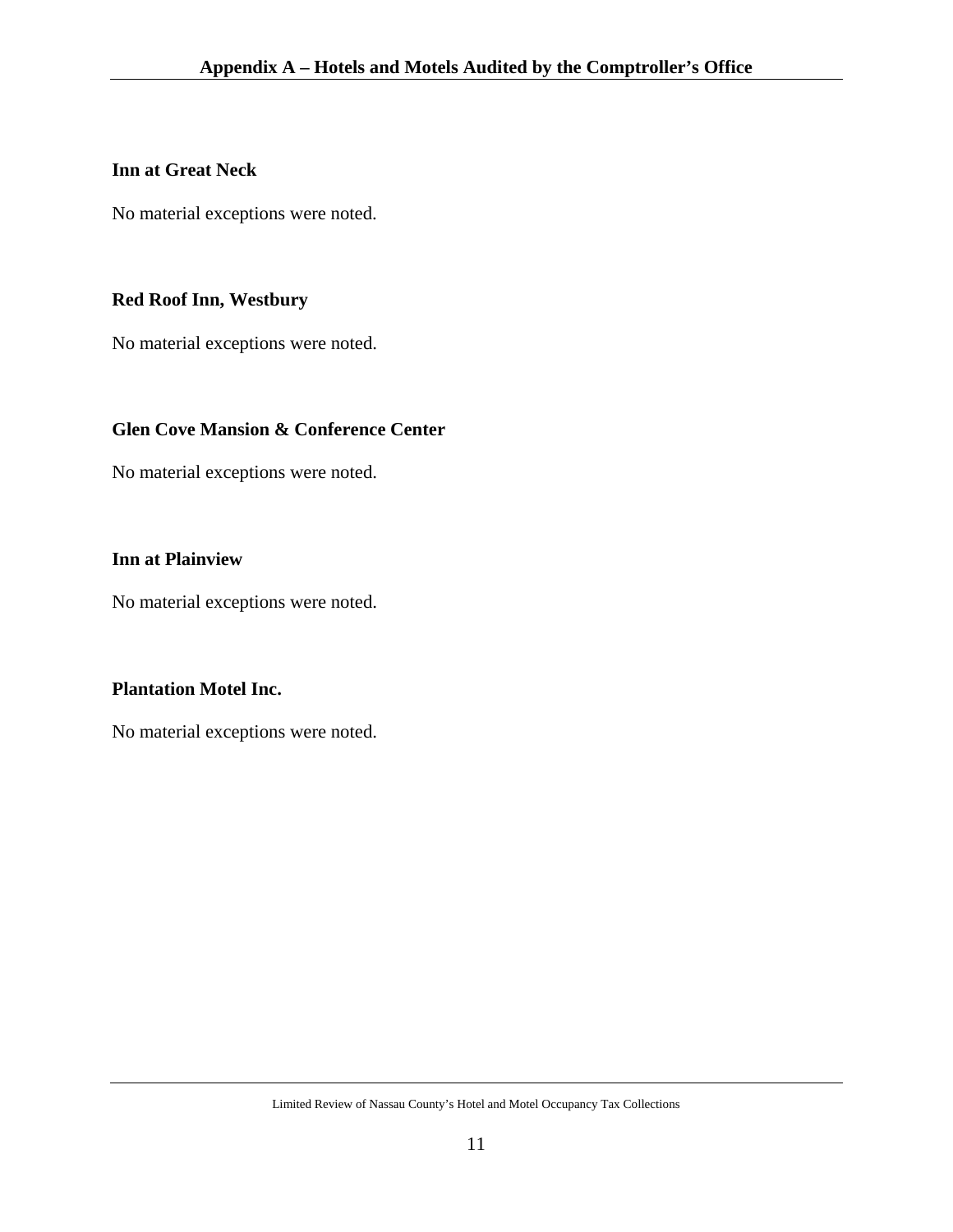## **Inn at Great Neck**

No material exceptions were noted.

# **Red Roof Inn, Westbury**

No material exceptions were noted.

## **Glen Cove Mansion & Conference Center**

No material exceptions were noted.

## **Inn at Plainview**

No material exceptions were noted.

## **Plantation Motel Inc.**

No material exceptions were noted.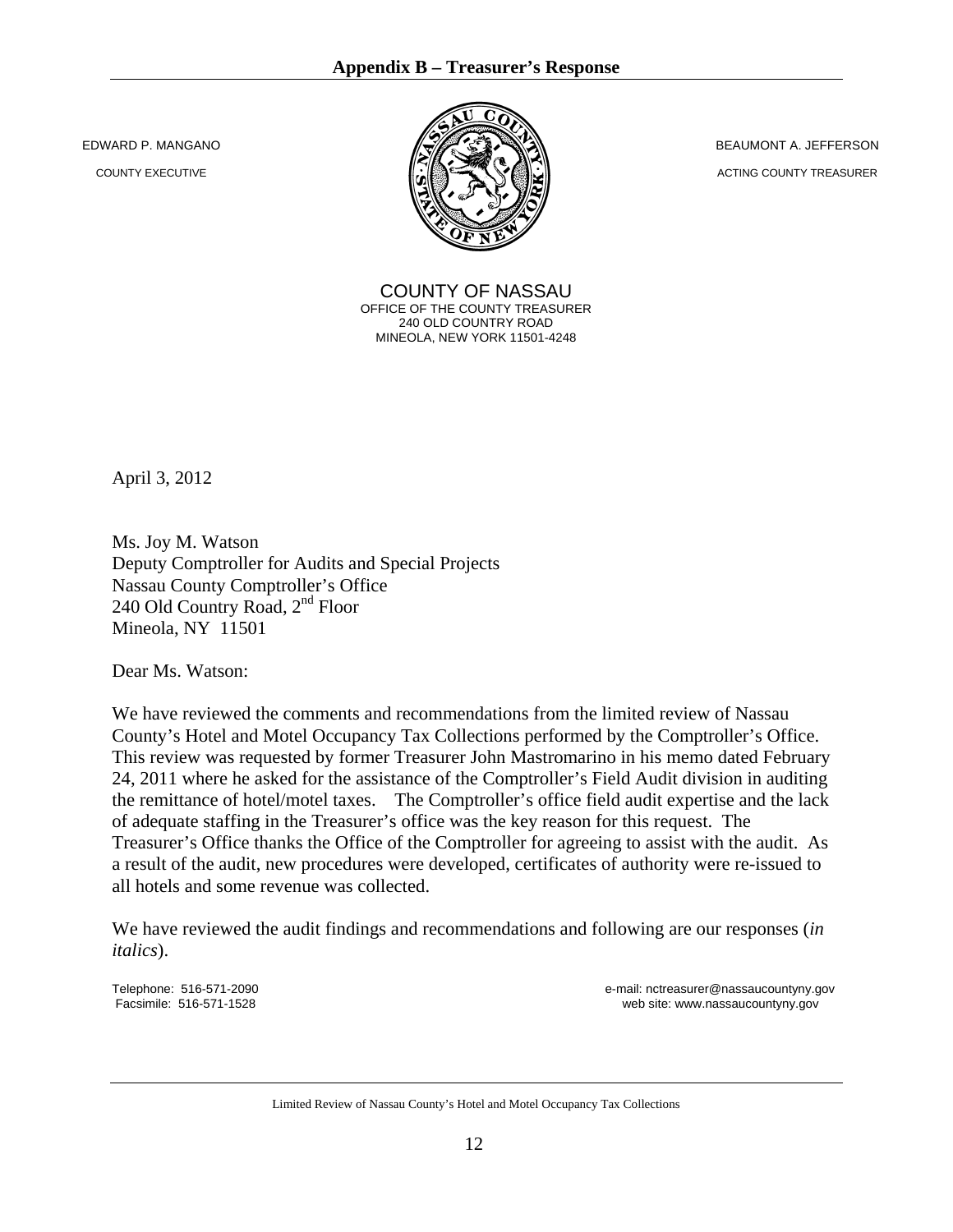EDWARD P. MANGANO

COUNTY EXECUTIVE



COUNTY OF NASSAU OFFICE OF THE COUNTY TREASURER 240 OLD COUNTRY ROAD MINEOLA, NEW YORK 11501-4248

BEAUMONT A. JEFFERSON

ACTING COUNTY TREASURER

April 3, 2012

Ms. Joy M. Watson Deputy Comptroller for Audits and Special Projects Nassau County Comptroller's Office 240 Old Country Road, 2<sup>nd</sup> Floor Mineola, NY 11501

Dear Ms. Watson:

We have reviewed the comments and recommendations from the limited review of Nassau County's Hotel and Motel Occupancy Tax Collections performed by the Comptroller's Office. This review was requested by former Treasurer John Mastromarino in his memo dated February 24, 2011 where he asked for the assistance of the Comptroller's Field Audit division in auditing the remittance of hotel/motel taxes. The Comptroller's office field audit expertise and the lack of adequate staffing in the Treasurer's office was the key reason for this request. The Treasurer's Office thanks the Office of the Comptroller for agreeing to assist with the audit. As a result of the audit, new procedures were developed, certificates of authority were re-issued to all hotels and some revenue was collected.

We have reviewed the audit findings and recommendations and following are our responses (*in italics*).

Telephone: 516-571-2090<br>
Facsimile: 516-571-1528 **e-mail: nctreasurer@nassaucountyny.gov**<br>
web site: www.nassaucountyny.gov web site: www.nassaucountyny.gov

Limited Review of Nassau County's Hotel and Motel Occupancy Tax Collections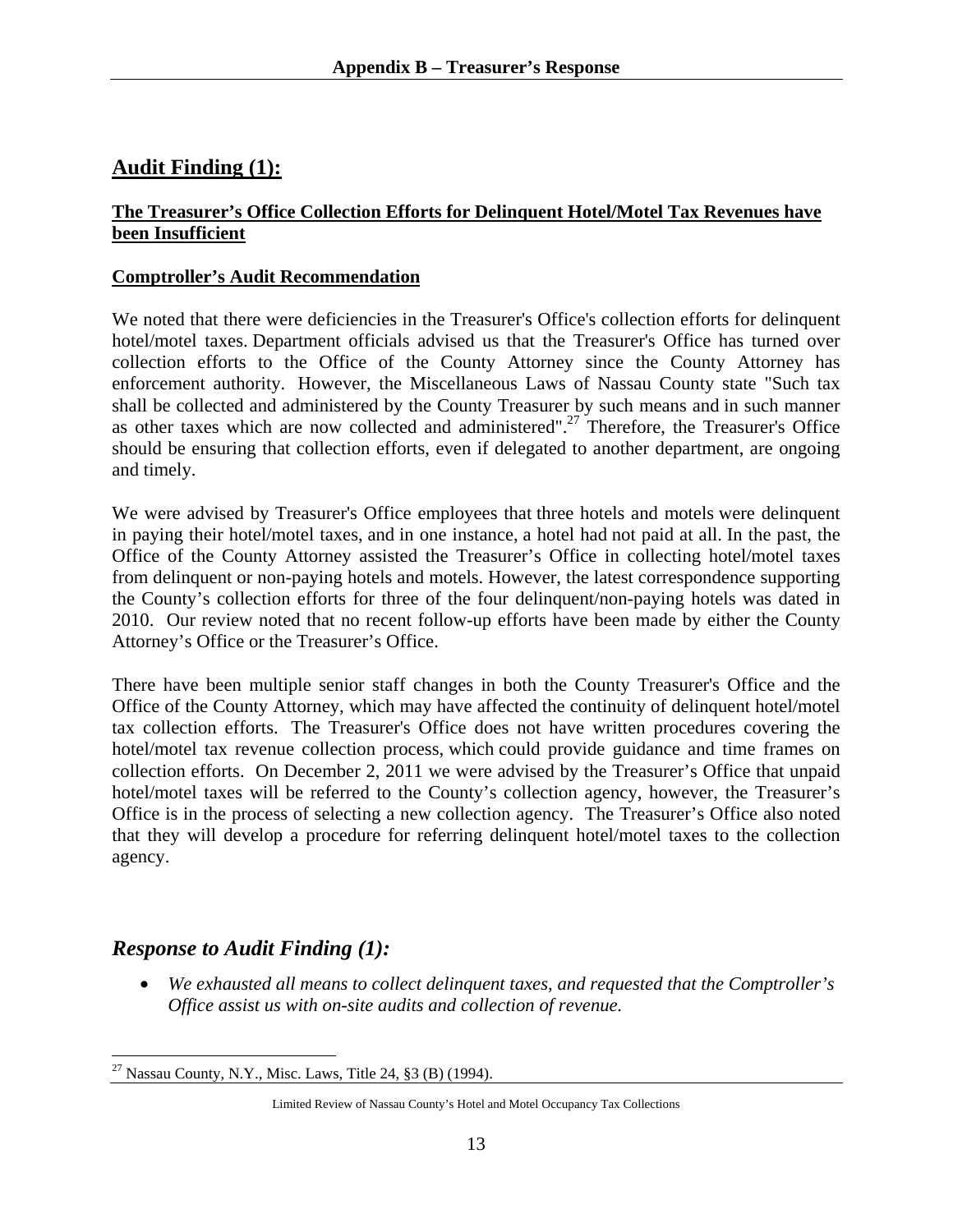# **Audit Finding (1):**

## **The Treasurer's Office Collection Efforts for Delinquent Hotel/Motel Tax Revenues have been Insufficient**

#### **Comptroller's Audit Recommendation**

We noted that there were deficiencies in the Treasurer's Office's collection efforts for delinquent hotel/motel taxes. Department officials advised us that the Treasurer's Office has turned over collection efforts to the Office of the County Attorney since the County Attorney has enforcement authority. However, the Miscellaneous Laws of Nassau County state "Such tax shall be collected and administered by the County Treasurer by such means and in such manner as other taxes which are now collected and administered".<sup>27</sup> Therefore, the Treasurer's Office should be ensuring that collection efforts, even if delegated to another department, are ongoing and timely.

We were advised by Treasurer's Office employees that three hotels and motels were delinquent in paying their hotel/motel taxes, and in one instance, a hotel had not paid at all. In the past, the Office of the County Attorney assisted the Treasurer's Office in collecting hotel/motel taxes from delinquent or non-paying hotels and motels. However, the latest correspondence supporting the County's collection efforts for three of the four delinquent/non-paying hotels was dated in 2010. Our review noted that no recent follow-up efforts have been made by either the County Attorney's Office or the Treasurer's Office.

There have been multiple senior staff changes in both the County Treasurer's Office and the Office of the County Attorney, which may have affected the continuity of delinquent hotel/motel tax collection efforts. The Treasurer's Office does not have written procedures covering the hotel/motel tax revenue collection process, which could provide guidance and time frames on collection efforts. On December 2, 2011 we were advised by the Treasurer's Office that unpaid hotel/motel taxes will be referred to the County's collection agency, however, the Treasurer's Office is in the process of selecting a new collection agency. The Treasurer's Office also noted that they will develop a procedure for referring delinquent hotel/motel taxes to the collection agency.

# *Response to Audit Finding (1):*

• *We exhausted all means to collect delinquent taxes, and requested that the Comptroller's Office assist us with on-site audits and collection of revenue.* 

 $\overline{a}$ <sup>27</sup> Nassau County, N.Y., Misc. Laws, Title 24, §3 (B) (1994).

Limited Review of Nassau County's Hotel and Motel Occupancy Tax Collections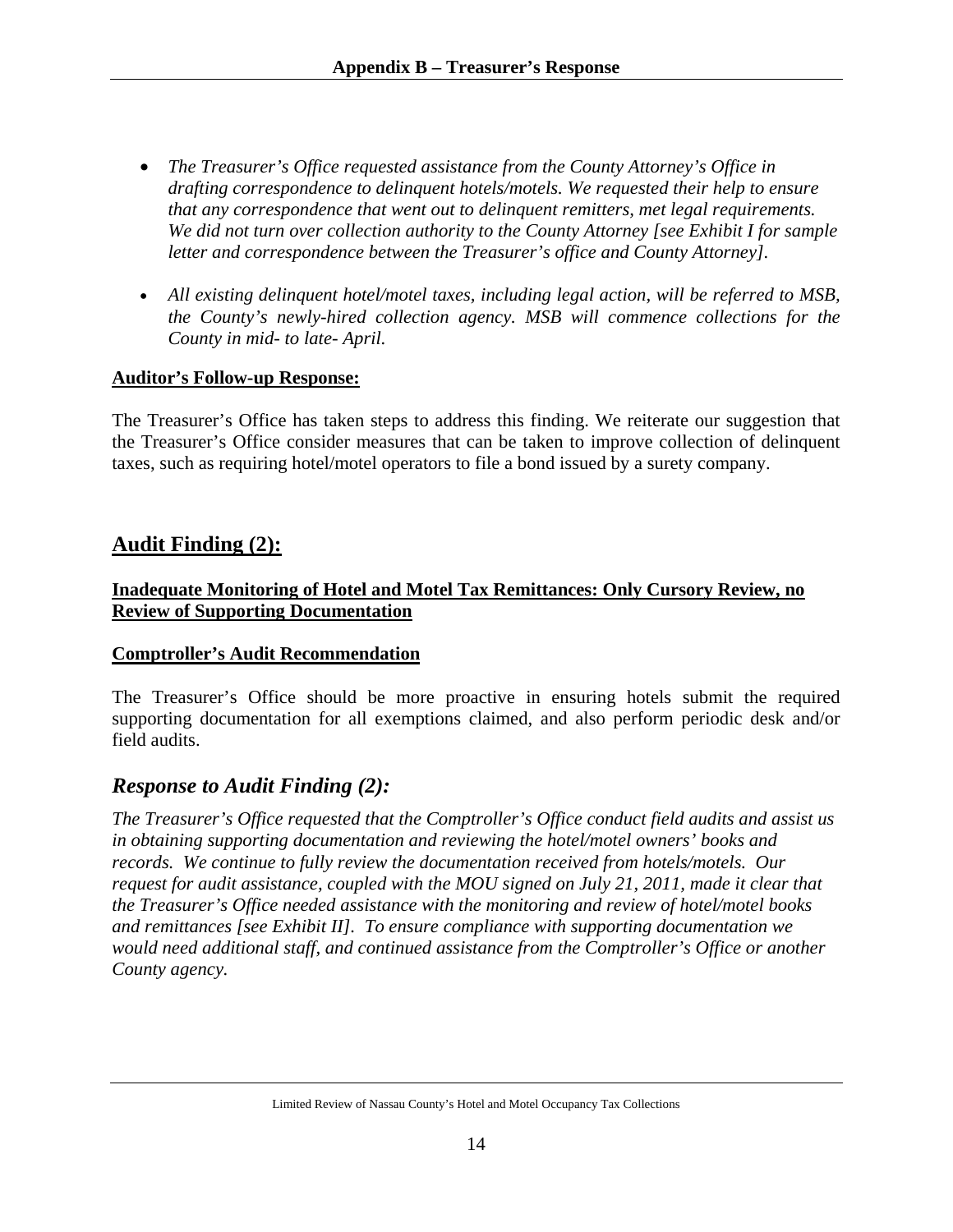- *The Treasurer's Office requested assistance from the County Attorney's Office in drafting correspondence to delinquent hotels/motels. We requested their help to ensure that any correspondence that went out to delinquent remitters, met legal requirements. We did not turn over collection authority to the County Attorney [see Exhibit I for sample letter and correspondence between the Treasurer's office and County Attorney].*
- *All existing delinquent hotel/motel taxes, including legal action, will be referred to MSB, the County's newly-hired collection agency. MSB will commence collections for the County in mid- to late- April.*

#### **Auditor's Follow-up Response:**

The Treasurer's Office has taken steps to address this finding. We reiterate our suggestion that the Treasurer's Office consider measures that can be taken to improve collection of delinquent taxes, such as requiring hotel/motel operators to file a bond issued by a surety company.

# **Audit Finding (2):**

## **Inadequate Monitoring of Hotel and Motel Tax Remittances: Only Cursory Review, no Review of Supporting Documentation**

#### **Comptroller's Audit Recommendation**

The Treasurer's Office should be more proactive in ensuring hotels submit the required supporting documentation for all exemptions claimed, and also perform periodic desk and/or field audits.

## *Response to Audit Finding (2):*

*The Treasurer's Office requested that the Comptroller's Office conduct field audits and assist us in obtaining supporting documentation and reviewing the hotel/motel owners' books and records. We continue to fully review the documentation received from hotels/motels. Our request for audit assistance, coupled with the MOU signed on July 21, 2011, made it clear that the Treasurer's Office needed assistance with the monitoring and review of hotel/motel books and remittances [see Exhibit II]. To ensure compliance with supporting documentation we would need additional staff, and continued assistance from the Comptroller's Office or another County agency.*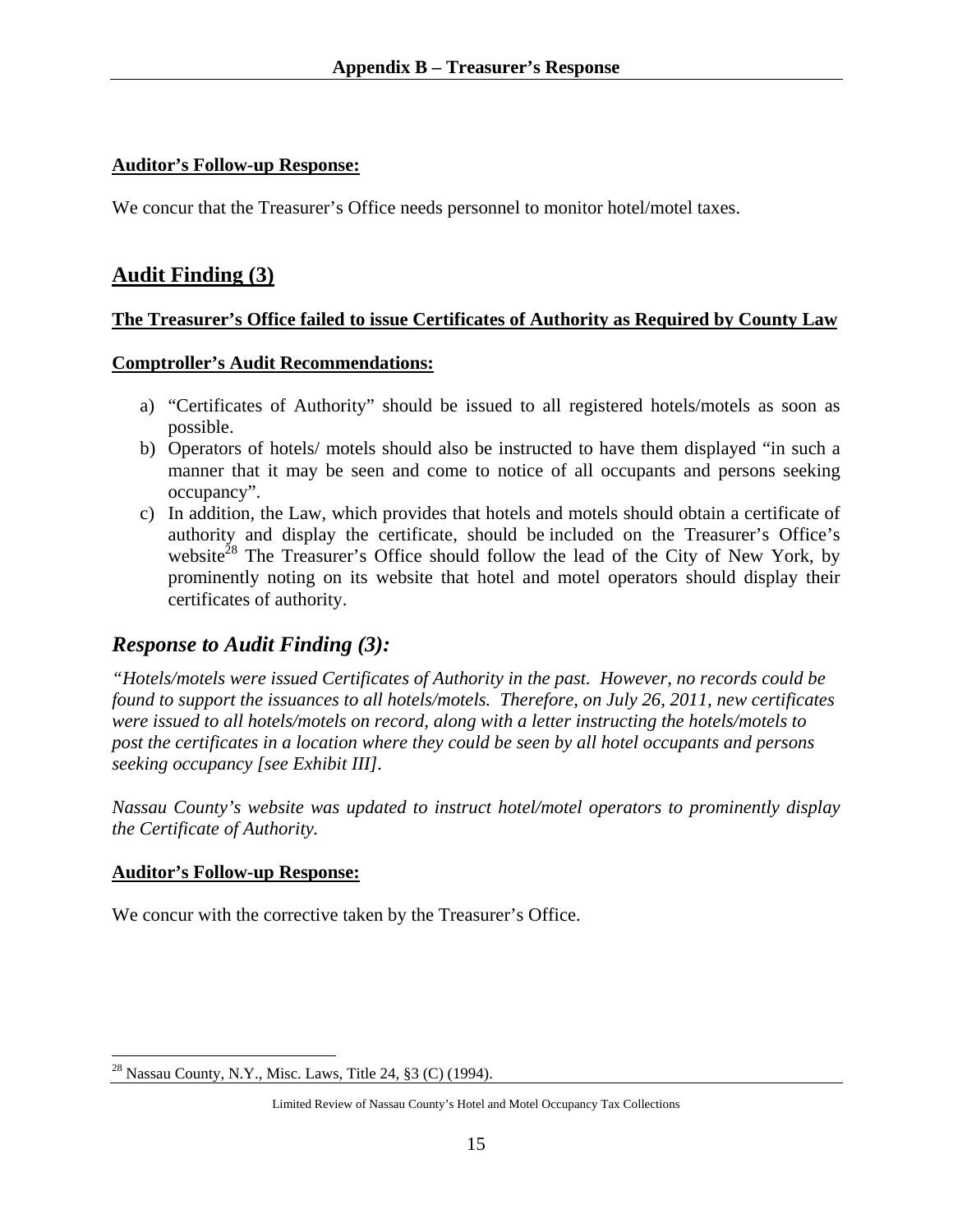## **Auditor's Follow-up Response:**

We concur that the Treasurer's Office needs personnel to monitor hotel/motel taxes.

# **Audit Finding (3)**

## **The Treasurer's Office failed to issue Certificates of Authority as Required by County Law**

#### **Comptroller's Audit Recommendations:**

- a) "Certificates of Authority" should be issued to all registered hotels/motels as soon as possible.
- b) Operators of hotels/ motels should also be instructed to have them displayed "in such a manner that it may be seen and come to notice of all occupants and persons seeking occupancy".
- c) In addition, the Law, which provides that hotels and motels should obtain a certificate of authority and display the certificate, should be included on the Treasurer's Office's website<sup>28</sup> The Treasurer's Office should follow the lead of the City of New York, by prominently noting on its website that hotel and motel operators should display their certificates of authority.

## *Response to Audit Finding (3):*

*"Hotels/motels were issued Certificates of Authority in the past. However, no records could be found to support the issuances to all hotels/motels. Therefore, on July 26, 2011, new certificates were issued to all hotels/motels on record, along with a letter instructing the hotels/motels to post the certificates in a location where they could be seen by all hotel occupants and persons seeking occupancy [see Exhibit III].* 

*Nassau County's website was updated to instruct hotel/motel operators to prominently display the Certificate of Authority.* 

#### **Auditor's Follow-up Response:**

We concur with the corrective taken by the Treasurer's Office.

 $\overline{a}$ <sup>28</sup> Nassau County, N.Y., Misc. Laws, Title 24,  $\S 3$  (C) (1994).

Limited Review of Nassau County's Hotel and Motel Occupancy Tax Collections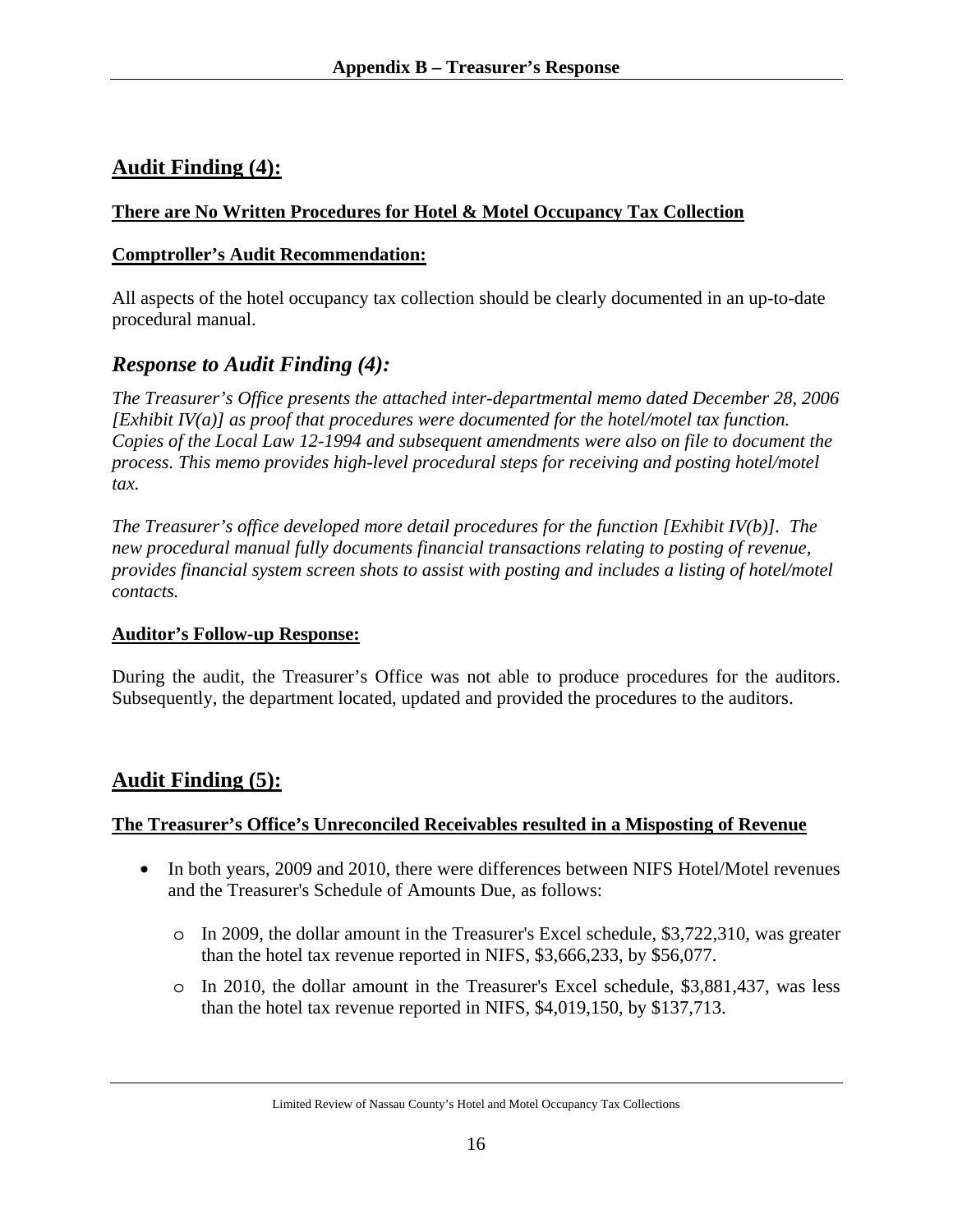# **Audit Finding (4):**

## **There are No Written Procedures for Hotel & Motel Occupancy Tax Collection**

#### **Comptroller's Audit Recommendation:**

All aspects of the hotel occupancy tax collection should be clearly documented in an up-to-date procedural manual.

## *Response to Audit Finding (4):*

*The Treasurer's Office presents the attached inter-departmental memo dated December 28, 2006 [Exhibit IV(a)] as proof that procedures were documented for the hotel/motel tax function. Copies of the Local Law 12-1994 and subsequent amendments were also on file to document the process. This memo provides high-level procedural steps for receiving and posting hotel/motel tax.* 

*The Treasurer's office developed more detail procedures for the function [Exhibit IV(b)]. The new procedural manual fully documents financial transactions relating to posting of revenue, provides financial system screen shots to assist with posting and includes a listing of hotel/motel contacts.* 

#### **Auditor's Follow-up Response:**

During the audit, the Treasurer's Office was not able to produce procedures for the auditors. Subsequently, the department located, updated and provided the procedures to the auditors.

# **Audit Finding (5):**

## **The Treasurer's Office's Unreconciled Receivables resulted in a Misposting of Revenue**

- In both years, 2009 and 2010, there were differences between NIFS Hotel/Motel revenues and the Treasurer's Schedule of Amounts Due, as follows:
	- o In 2009, the dollar amount in the Treasurer's Excel schedule, \$3,722,310, was greater than the hotel tax revenue reported in NIFS, \$3,666,233, by \$56,077.
	- o In 2010, the dollar amount in the Treasurer's Excel schedule, \$3,881,437, was less than the hotel tax revenue reported in NIFS, \$4,019,150, by \$137,713.

Limited Review of Nassau County's Hotel and Motel Occupancy Tax Collections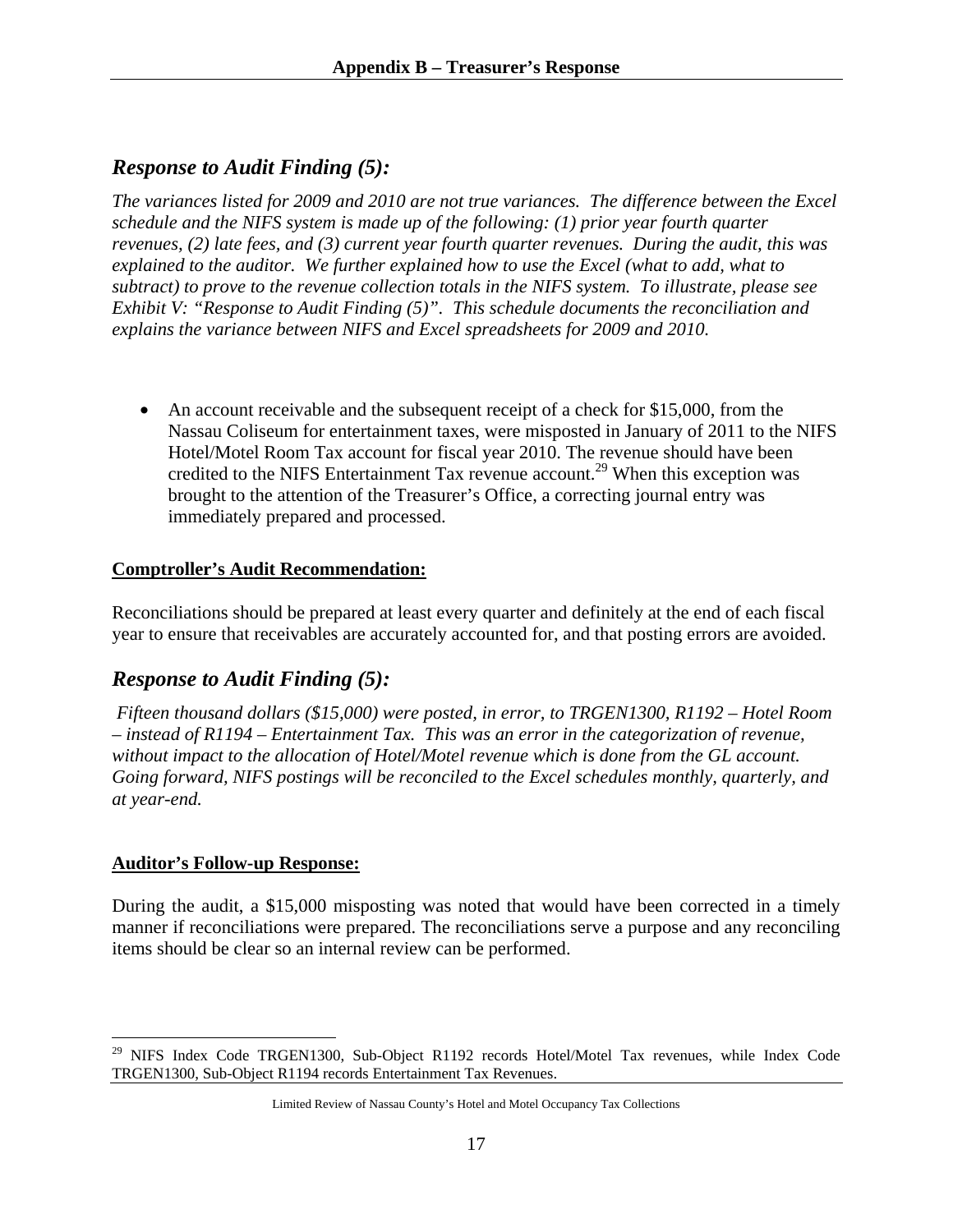# *Response to Audit Finding (5):*

*The variances listed for 2009 and 2010 are not true variances. The difference between the Excel schedule and the NIFS system is made up of the following: (1) prior year fourth quarter revenues, (2) late fees, and (3) current year fourth quarter revenues. During the audit, this was explained to the auditor. We further explained how to use the Excel (what to add, what to subtract) to prove to the revenue collection totals in the NIFS system. To illustrate, please see Exhibit V: "Response to Audit Finding (5)". This schedule documents the reconciliation and explains the variance between NIFS and Excel spreadsheets for 2009 and 2010.* 

• An account receivable and the subsequent receipt of a check for \$15,000, from the Nassau Coliseum for entertainment taxes, were misposted in January of 2011 to the NIFS Hotel/Motel Room Tax account for fiscal year 2010. The revenue should have been credited to the NIFS Entertainment Tax revenue account.<sup>29</sup> When this exception was brought to the attention of the Treasurer's Office, a correcting journal entry was immediately prepared and processed.

## **Comptroller's Audit Recommendation:**

Reconciliations should be prepared at least every quarter and definitely at the end of each fiscal year to ensure that receivables are accurately accounted for, and that posting errors are avoided.

## *Response to Audit Finding (5):*

 *Fifteen thousand dollars (\$15,000) were posted, in error, to TRGEN1300, R1192 – Hotel Room – instead of R1194 – Entertainment Tax. This was an error in the categorization of revenue, without impact to the allocation of Hotel/Motel revenue which is done from the GL account. Going forward, NIFS postings will be reconciled to the Excel schedules monthly, quarterly, and at year-end.* 

## **Auditor's Follow-up Response:**

 $\overline{a}$ 

During the audit, a \$15,000 misposting was noted that would have been corrected in a timely manner if reconciliations were prepared. The reconciliations serve a purpose and any reconciling items should be clear so an internal review can be performed.

<sup>&</sup>lt;sup>29</sup> NIFS Index Code TRGEN1300, Sub-Object R1192 records Hotel/Motel Tax revenues, while Index Code TRGEN1300, Sub-Object R1194 records Entertainment Tax Revenues.

Limited Review of Nassau County's Hotel and Motel Occupancy Tax Collections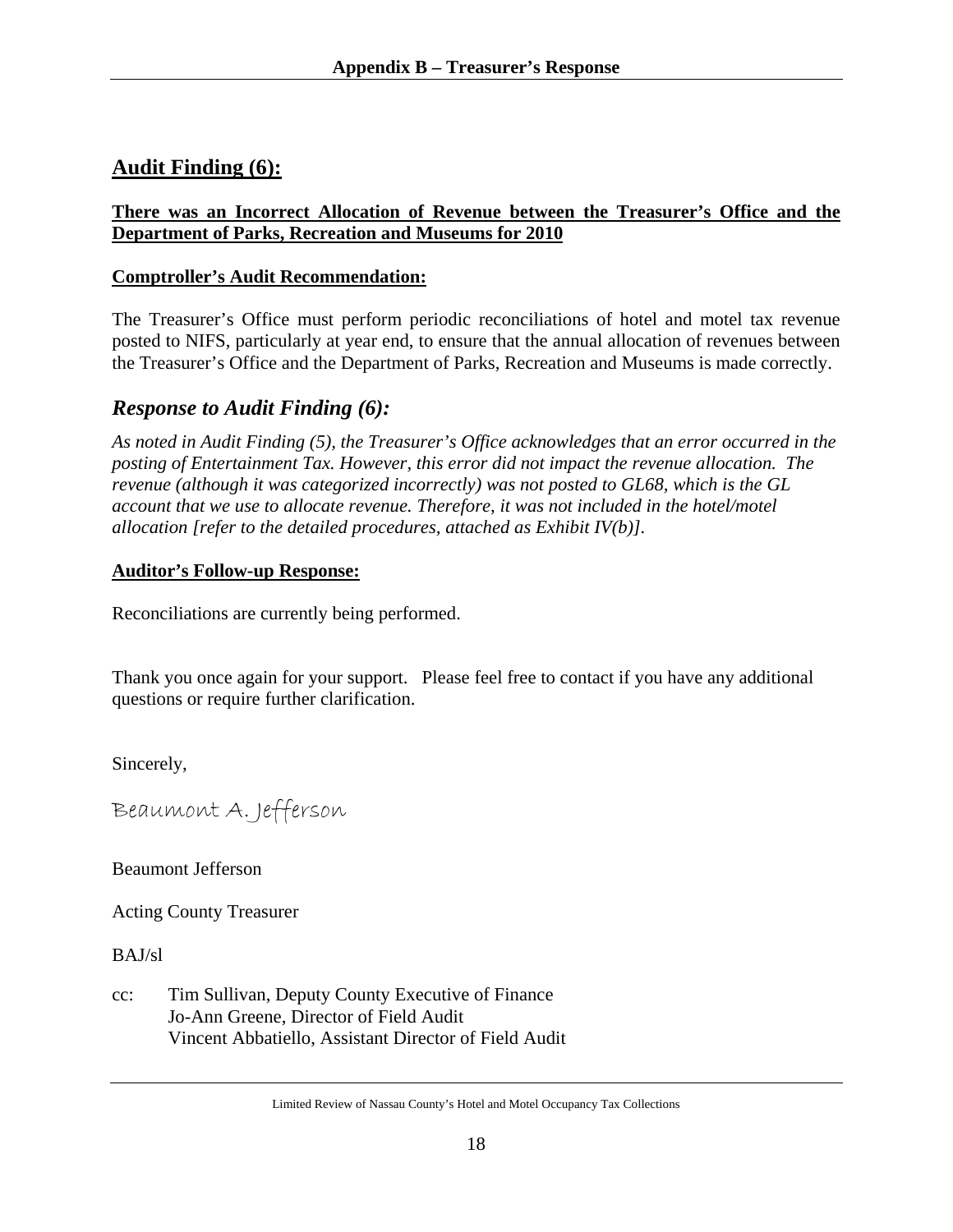# **Audit Finding (6):**

## **There was an Incorrect Allocation of Revenue between the Treasurer's Office and the Department of Parks, Recreation and Museums for 2010**

## **Comptroller's Audit Recommendation:**

The Treasurer's Office must perform periodic reconciliations of hotel and motel tax revenue posted to NIFS, particularly at year end, to ensure that the annual allocation of revenues between the Treasurer's Office and the Department of Parks, Recreation and Museums is made correctly.

# *Response to Audit Finding (6):*

*As noted in Audit Finding (5), the Treasurer's Office acknowledges that an error occurred in the posting of Entertainment Tax. However, this error did not impact the revenue allocation. The revenue (although it was categorized incorrectly) was not posted to GL68, which is the GL account that we use to allocate revenue. Therefore, it was not included in the hotel/motel allocation [refer to the detailed procedures, attached as Exhibit IV(b)].* 

## **Auditor's Follow-up Response:**

Reconciliations are currently being performed.

Thank you once again for your support. Please feel free to contact if you have any additional questions or require further clarification.

Sincerely,

Beaumont A. Jefferson

Beaumont Jefferson

Acting County Treasurer

BAJ/sl

cc: Tim Sullivan, Deputy County Executive of Finance Jo-Ann Greene, Director of Field Audit Vincent Abbatiello, Assistant Director of Field Audit